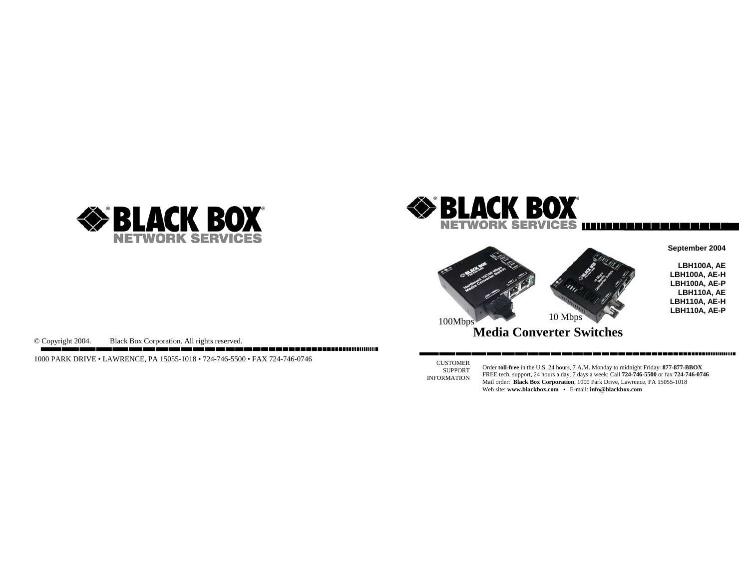





**September 2004** 

**LBH100A, AE LBH100A, AE-H LBH100A, AE-P LBH110A, AE LBH110A, AE-H LBH110A, AE-P**

© Copyright 2004. Black Box Corporation. All rights reserved.

1000 PARK DRIVE • LAWRENCE, PA 15055-1018 • 724-746-5500 • FAX 724-746-0746

CUSTOMER SUPPORT INFORMATION

Order **toll-free** in the U.S. 24 hours, 7 A.M. Monday to midnight Friday: **877-877-BBOX** FREE tech. support, 24 hours a day, 7 days a week: Call **724-746-5500** or fax **724-746-0746** Mail order: **Black Box Corporation**, 1000 Park Drive, Lawrence, PA 15055-1018 Web site: **www.blackbox.com** • E-mail: **info@blackbox.com**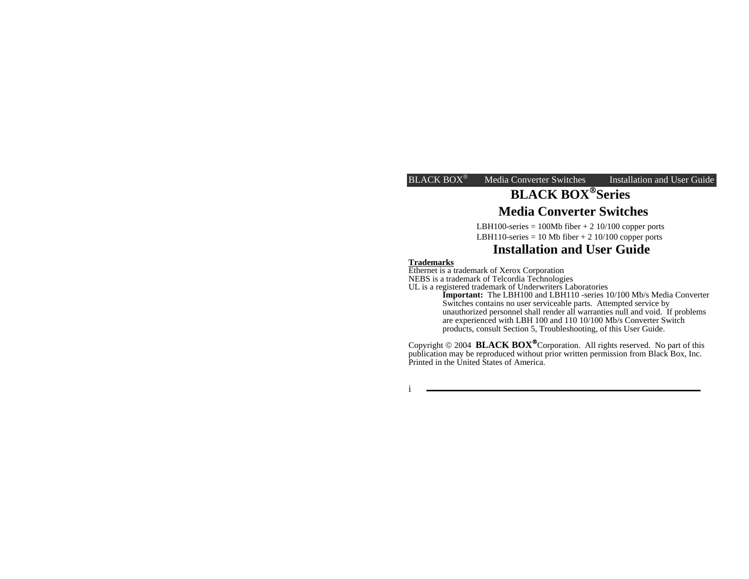# **BLACK BOX**®**Series**

# **Media Converter Switches**

LBH100-series = 100Mb fiber + 2 10/100 copper ports LBH110-series = 10 Mb fiber  $+ 2 10/100$  copper ports

# **Installation and User Guide**

#### **Trademarks**

Ethernet is a trademark of Xerox Corporation

NEBS is a trademark of Telcordia Technologies

UL is a registered trademark of Underwriters Laboratories **Important:** The LBH100 and LBH110 -series 10/100 Mb/s Media Converter Switches contains no user serviceable parts. Attempted service by unauthorized personnel shall render all warranties null and void. If problems are experienced with LBH 100 and 110 10/100 Mb/s Converter Switch products, consult Section 5, Troubleshooting, of this User Guide.

Copyright © 2004 **BLACK BOX**®Corporation. All rights reserved. No part of this publication may be reproduced without prior written permission from Black Box, Inc. Printed in the United States of America.

i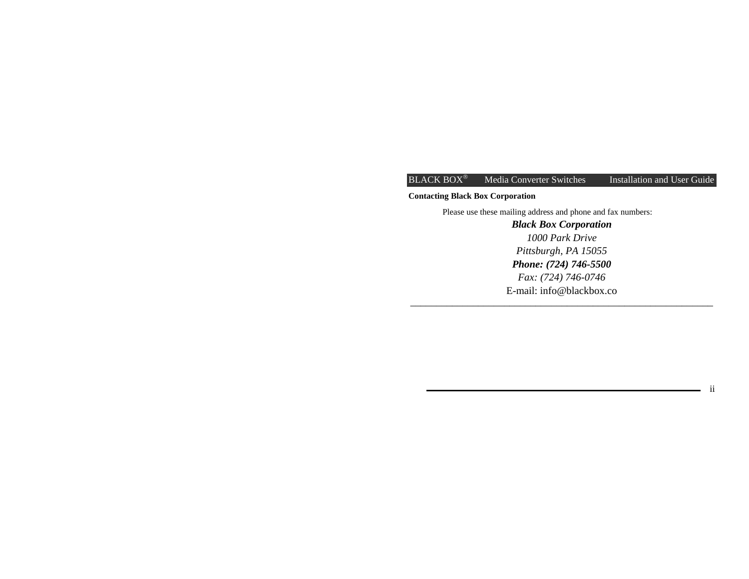# **Contacting Black Box Corporation**

Please use these mailing address and phone and fax numbers:

*Black Box Corporation 1000 Park Drive Pittsburgh, PA 15055 Phone: (724) 746-5500 Fax: (724) 746-0746*  E-mail: info@blackbox.co

ii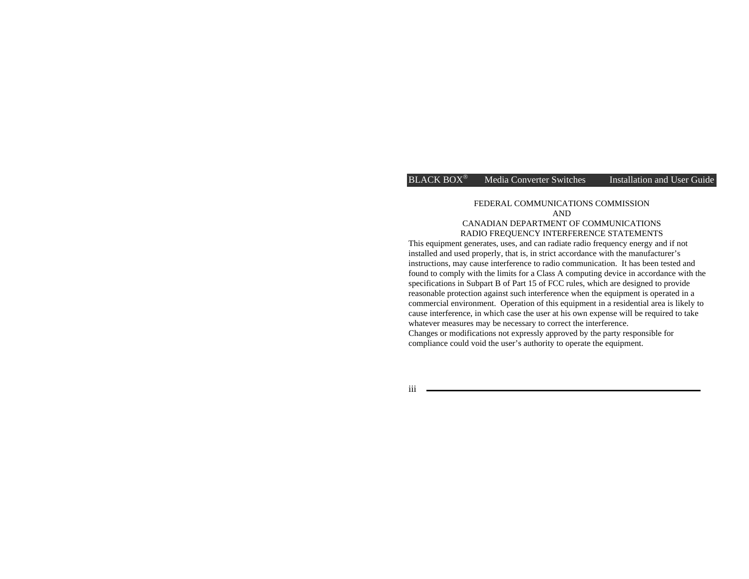#### FEDERAL COMMUNICATIONS COMMISSION AND CANADIAN DEPARTMENT OF COMMUNICATIONS RADIO FREQUENCY INTERFERENCE STATEMENTS

This equipment generates, uses, and can radiate radio frequency energy and if not installed and used properly, that is, in strict accordance with the manufacturer's instructions, may cause interference to radio communication. It has been tested and found to comply with the limits for a Class A computing device in accordance with the specifications in Subpart B of Part 15 of FCC rules, which are designed to provide reasonable protection against such interference when the equipment is operated in a commercial environment. Operation of this equipment in a residential area is likely to cause interference, in which case the user at his own expense will be required to take whatever measures may be necessary to correct the interference. Changes or modifications not expressly approved by the party responsible for compliance could void the user's authority to operate the equipment.

iii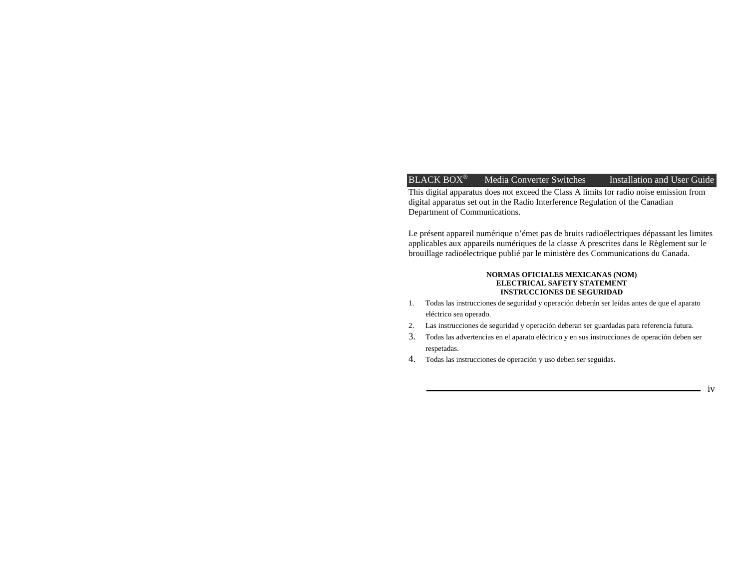This digital apparatus does not exceed the Class A limits for radio noise emission from digital apparatus set out in the Radio Interference Regulation of the Canadian Department of Communications.

Le présent appareil numérique n'émet pas de bruits radioélectriques dépassant les limites applicables aux appareils numériques de la classe A prescrites dans le Règlement sur le brouillage radioélectrique publié par le ministère des Communications du Canada.

#### **NORMAS OFICIALES MEXICANAS (NOM) ELECTRICAL SAFETY STATEMENT INSTRUCCIONES DE SEGURIDAD**

- 1. Todas las instrucciones de seguridad y operación deberán ser leídas antes de que el aparato eléctrico sea operado.
- 2. Las instrucciones de seguridad y operación deberan ser guardadas para referencia futura.
- 3. Todas las advertencias en el aparato eléctrico y en sus instrucciones de operación deben ser respetadas.
- 4. Todas las instrucciones de operación y uso deben ser seguidas.

iv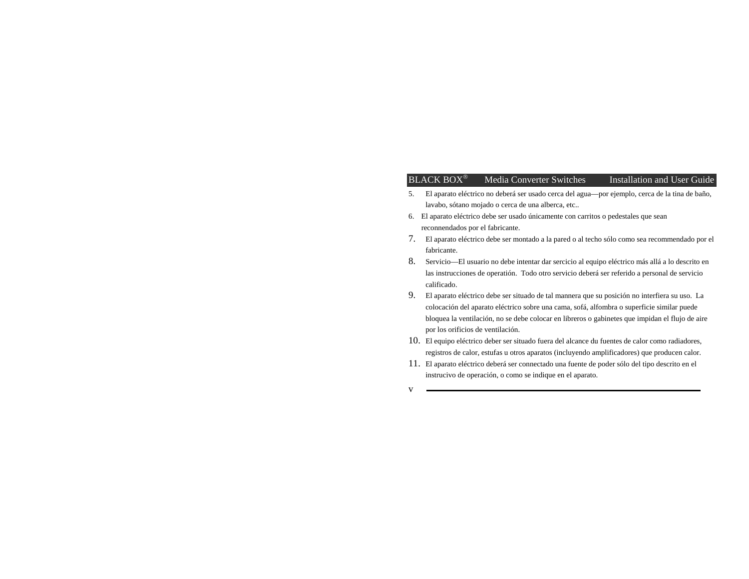- 5. El aparato eléctrico no deberá ser usado cerca del agua—por ejemplo, cerca de la tina de baño, lavabo, sótano mojado o cerca de una alberca, etc..
- 6. El aparato eléctrico debe ser usado únicamente con carritos o pedestales que sean reconnendados por el fabricante.
- 7. El aparato eléctrico debe ser montado a la pared o al techo sólo como sea recommendado por el fabricante.
- 8. Servicio—El usuario no debe intentar dar sercicio al equipo eléctrico más allá a lo descrito en las instrucciones de operatión. Todo otro servicio deberá ser referido a personal de servicio calificado.
- 9. El aparato eléctrico debe ser situado de tal mannera que su posición no interfiera su uso. La colocación del aparato eléctrico sobre una cama, sofá, alfombra o superficie similar puede bloquea la ventilación, no se debe colocar en libreros o gabinetes que impidan el flujo de aire por los orificios de ventilación.
- 10. El equipo eléctrico deber ser situado fuera del alcance du fuentes de calor como radiadores, registros de calor, estufas u otros aparatos (incluyendo amplificadores) que producen calor.
- 11. El aparato eléctrico deberá ser connectado una fuente de poder sólo del tipo descrito en el instrucivo de operación, o como se indique en el aparato.

v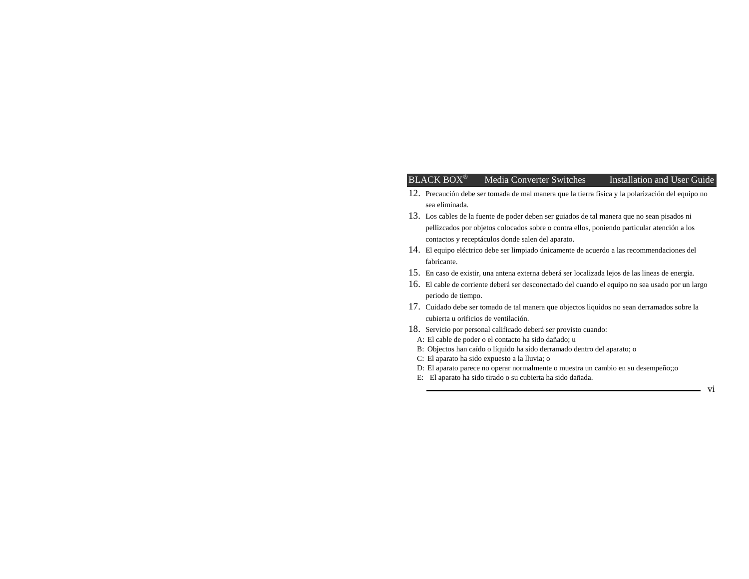- 12. Precaución debe ser tomada de mal manera que la tierra fisica y la polarización del equipo no sea eliminada.
- 13. Los cables de la fuente de poder deben ser guiados de tal manera que no sean pisados ni pellizcados por objetos colocados sobre o contra ellos, poniendo particular atención a los contactos y receptáculos donde salen del aparato.
- 14. El equipo eléctrico debe ser limpiado únicamente de acuerdo a las recommendaciones del fabricante.
- 15. En caso de existir, una antena externa deberá ser localizada lejos de las lineas de energia.
- 16. El cable de corriente deberá ser desconectado del cuando el equipo no sea usado por un largo periodo de tiempo.
- 17. Cuidado debe ser tomado de tal manera que objectos liquidos no sean derramados sobre la cubierta u orificios de ventilación.
- 18. Servicio por personal calificado deberá ser provisto cuando:
	- A: El cable de poder o el contacto ha sido dañado; u
- B: Objectos han caído o líquido ha sido derramado dentro del aparato; o
- C: El aparato ha sido expuesto a la lluvia; o
- D: El aparato parece no operar normalmente o muestra un cambio en su desempeño;;o
- E: El aparato ha sido tirado o su cubierta ha sido dañada.

vi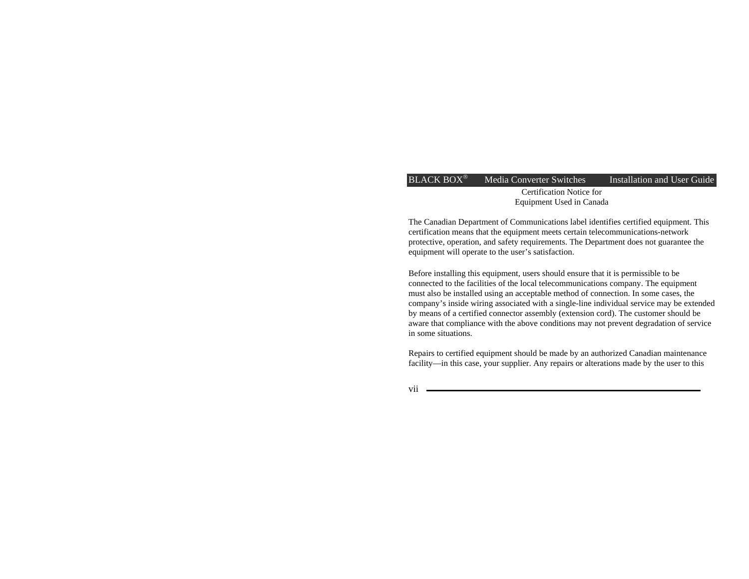Certification Notice for Equipment Used in Canada

The Canadian Department of Communications label identifies certified equipment. This certification means that the equipment meets certain telecommunications-network protective, operation, and safety requirements. The Department does not guarantee the equipment will operate to the user's satisfaction.

Before installing this equipment, users should ensure that it is permissible to be connected to the facilities of the local telecommunications company. The equipment must also be installed using an acceptable method of connection. In some cases, the company's inside wiring associated with a single-line individual service may be extended by means of a certified connector assembly (extension cord). The customer should be aware that compliance with the above conditions may not prevent degradation of service in some situations.

Repairs to certified equipment should be made by an authorized Canadian maintenance facility—in this case, your supplier. Any repairs or alterations made by the user to this

vii <u>essentiment</u>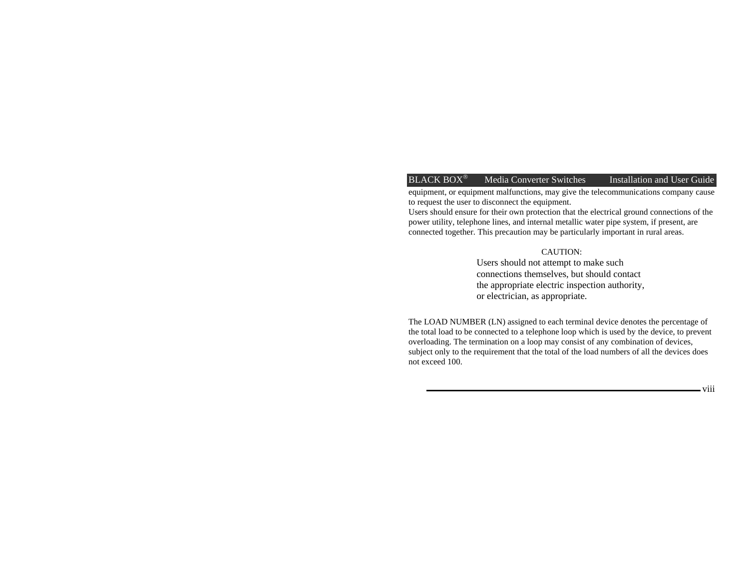equipment, or equipment malfunctions, may give the telecommunications company cause to request the user to disconnect the equipment.

Users should ensure for their own protection that the electrical ground connections of the power utility, telephone lines, and internal metallic water pipe system, if present, are connected together. This precaution may be particularly important in rural areas.

#### CAUTION:

Users should not attempt to make such connections themselves, but should contact the appropriate electric inspection authority, or electrician, as appropriate.

The LOAD NUMBER (LN) assigned to each terminal device denotes the percentage of the total load to be connected to a telephone loop which is used by the device, to prevent overloading. The termination on a loop may consist of any combination of devices, subject only to the requirement that the total of the load numbers of all the devices does not exceed 100.

viii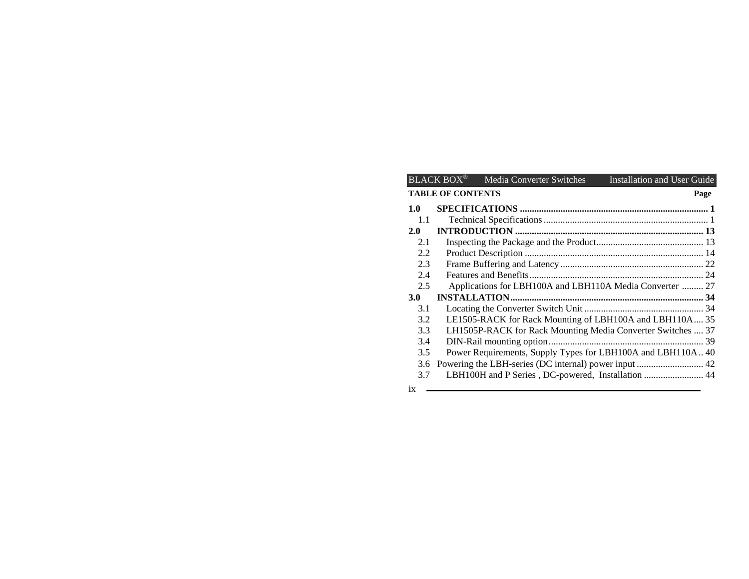|                                  | $BLACK$ $BOX^{\circledast}$ | Media Converter Switches                                    | Installation and User Guide |  |  |
|----------------------------------|-----------------------------|-------------------------------------------------------------|-----------------------------|--|--|
| <b>TABLE OF CONTENTS</b><br>Page |                             |                                                             |                             |  |  |
| 1.0                              |                             |                                                             |                             |  |  |
| 1.1                              |                             |                                                             |                             |  |  |
| 2.0                              |                             |                                                             |                             |  |  |
| 2.1                              |                             |                                                             |                             |  |  |
| 2.2                              |                             |                                                             |                             |  |  |
| 2.3                              |                             |                                                             |                             |  |  |
| 2.4                              |                             |                                                             |                             |  |  |
| 2.5                              |                             | Applications for LBH100A and LBH110A Media Converter  27    |                             |  |  |
| <b>3.0</b>                       |                             |                                                             |                             |  |  |
| 3.1                              |                             |                                                             |                             |  |  |
| 3.2                              |                             | LE1505-RACK for Rack Mounting of LBH100A and LBH110A 35     |                             |  |  |
| 3.3                              |                             | LH1505P-RACK for Rack Mounting Media Converter Switches  37 |                             |  |  |
| 3.4                              |                             |                                                             |                             |  |  |
| 3.5                              |                             | Power Requirements, Supply Types for LBH100A and LBH110A 40 |                             |  |  |
| 3.6                              |                             |                                                             |                             |  |  |
| 3.7                              |                             | LBH100H and P Series, DC-powered, Installation  44          |                             |  |  |
| iv                               |                             |                                                             |                             |  |  |

ix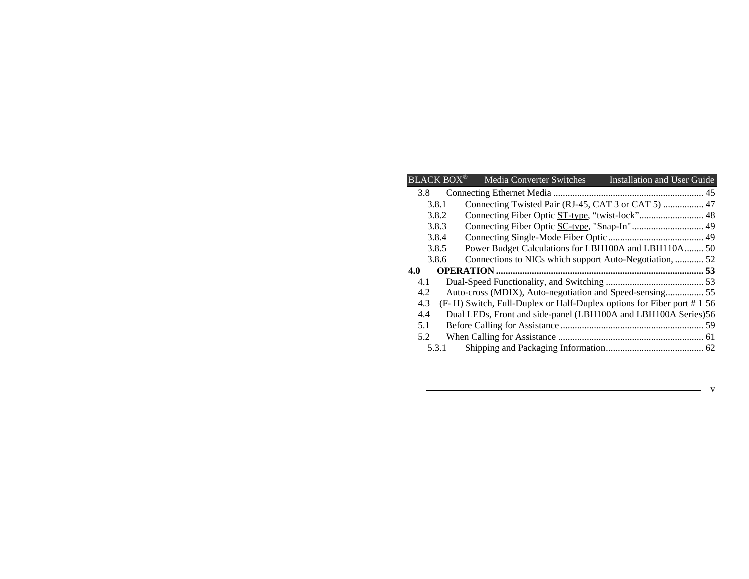|     | <b>BLACK BOX®</b> | Media Converter Switches                                             | Installation and User Guide |
|-----|-------------------|----------------------------------------------------------------------|-----------------------------|
| 3.8 |                   |                                                                      |                             |
|     | 3.8.1             |                                                                      |                             |
|     | 3.8.2             |                                                                      |                             |
|     | 3.8.3             |                                                                      |                             |
|     | 3.8.4             |                                                                      |                             |
|     | 3.8.5             | Power Budget Calculations for LBH100A and LBH110A 50                 |                             |
|     | 3.8.6             | Connections to NICs which support Auto-Negotiation,  52              |                             |
|     |                   |                                                                      |                             |
| 4.0 |                   |                                                                      |                             |
| 4.1 |                   |                                                                      |                             |
| 4.2 |                   |                                                                      |                             |
| 4.3 |                   | (F-H) Switch, Full-Duplex or Half-Duplex options for Fiber port #156 |                             |
| 4.4 |                   | Dual LEDs, Front and side-panel (LBH100A and LBH100A Series)56       |                             |
| 5.1 |                   |                                                                      |                             |
| 5.2 |                   |                                                                      |                             |

v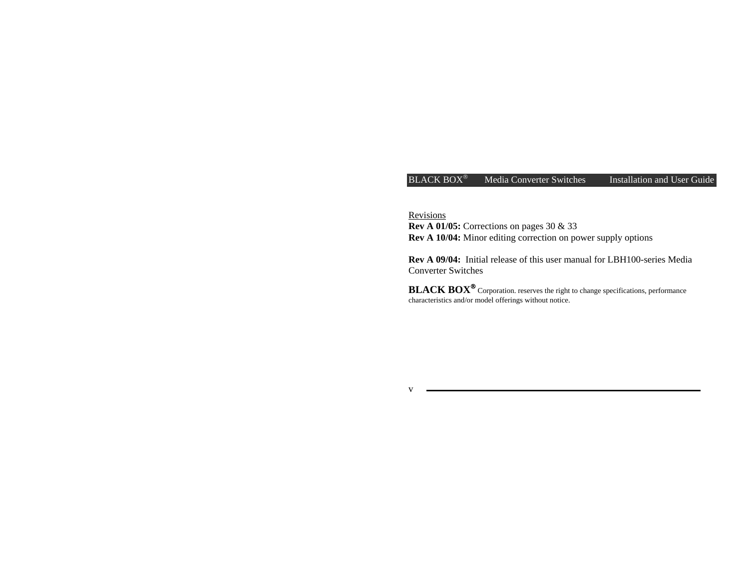Revisions

**Rev A 01/05:** Corrections on pages 30 & 33 **Rev A 10/04:** Minor editing correction on power supply options

**Rev A 09/04:** Initial release of this user manual for LBH100-series Media Converter Switches

**BLACK BOX**® Corporation. reserves the right to change specifications, performance characteristics and/or model offerings without notice.

v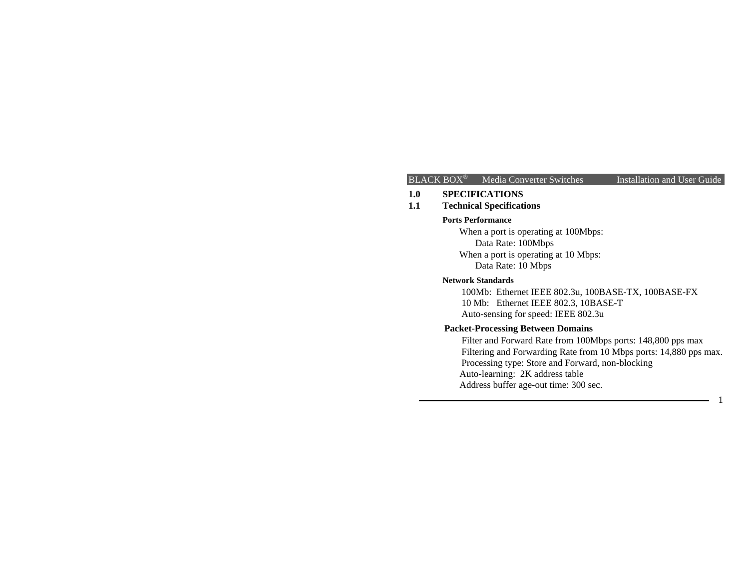1

#### **1.0 SPECIFICATIONS**

**1.1 Technical Specifications**

#### **Ports Performance**

 When a port is operating at 100Mbps: Data Rate: 100Mbps When a port is operating at 10 Mbps: Data Rate: 10 Mbps

#### **Network Standards**

 100Mb: Ethernet IEEE 802.3u, 100BASE-TX, 100BASE-FX 10 Mb: Ethernet IEEE 802.3, 10BASE-T Auto-sensing for speed: IEEE 802.3u

# **Packet-Processing Between Domains**

 Filter and Forward Rate from 100Mbps ports: 148,800 pps max Filtering and Forwarding Rate from 10 Mbps ports: 14,880 pps max. Processing type: Store and Forward, non-blocking Auto-learning: 2K address table Address buffer age-out time: 300 sec.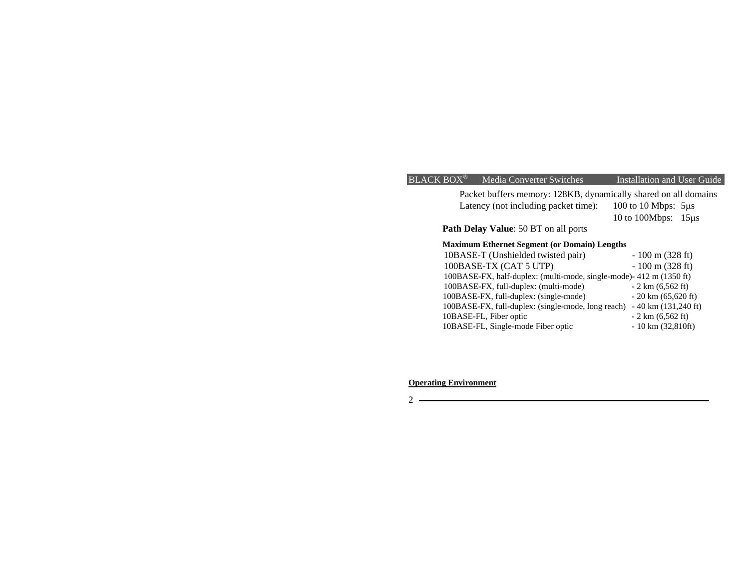Packet buffers memory: 128KB, dynamically shared on all domains Latency (not including packet time): 100 to 10 Mbps: 5µs 10 to 100Mbps: 15µ<sup>s</sup>

**Path Delay Value**: 50 BT on all ports

# **Maximum Ethernet Segment (or Domain) Lengths**

| 10BASE-T (Unshielded twisted pair)                                 | $-100$ m (328 ft)                     |
|--------------------------------------------------------------------|---------------------------------------|
| 100BASE-TX (CAT 5 UTP)                                             | $-100$ m (328 ft)                     |
| 100BASE-FX, half-duplex: (multi-mode, single-mode)-412 m (1350 ft) |                                       |
| 100BASE-FX, full-duplex: (multi-mode)                              | $-2 \text{ km } (6,562 \text{ ft})$   |
| 100BASE-FX, full-duplex: (single-mode)                             | $-20 \text{ km } (65,620 \text{ ft})$ |
| 100BASE-FX, full-duplex: (single-mode, long reach)                 | $-40 \text{ km}$ (131,240 ft)         |
| 10BASE-FL, Fiber optic                                             | $-2 \text{ km } (6,562 \text{ ft})$   |
| 10BASE-FL, Single-mode Fiber optic                                 | $-10 \text{ km} (32,810 \text{ft})$   |

# **Operating Environment**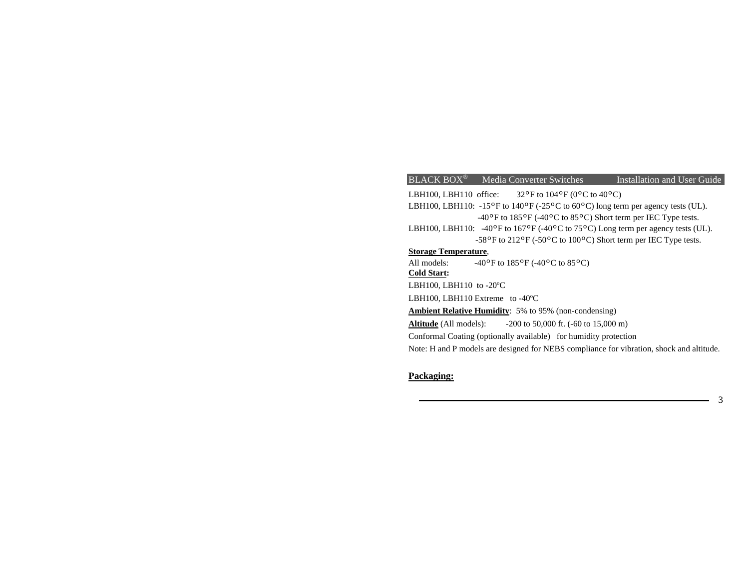# BLACK BOX<sup>®</sup> Media Converter Switches Installation and User Guide LBH100, LBH110 office:  $32^{\circ}$ F to  $104^{\circ}$ F (0 $^{\circ}$ C to  $40^{\circ}$ C) LBH100, LBH110: -15°F to 140°F (-25°C to 60°C) long term per agency tests (UL). -40ºF to 185ºF (-40ºC to 85ºC) Short term per IEC Type tests. LBH100, LBH110: -40°F to 167°F (-40°C to 75°C) Long term per agency tests (UL). -58ºF to 212ºF (-50ºC to 100ºC) Short term per IEC Type tests. **Storage Temperature**, All models:  $-40\degree \text{F}$  to  $185\degree \text{F}$  (-40 $\degree \text{C}$  to  $85\degree \text{C}$ ) **Cold Start:**  LBH100, LBH110 to -20ºC LBH100, LBH110 Extreme to -40ºC **Ambient Relative Humidity**: 5% to 95% (non-condensing) Altitude (All models):  $-200$  to 50,000 ft. ( $-60$  to 15,000 m) Conformal Coating (optionally available) for humidity protection Note: H and P models are designed for NEBS compliance for vibration, shock and altitude.

# **Packaging:**

3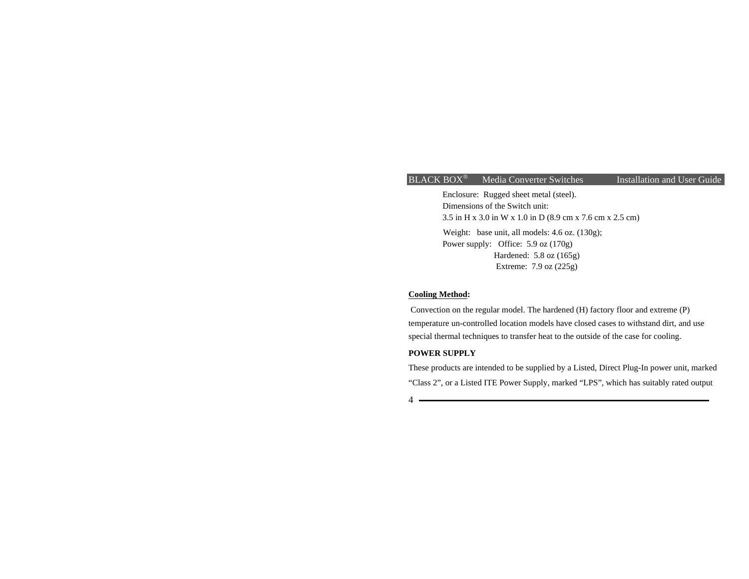Enclosure: Rugged sheet metal (steel). Dimensions of the Switch unit: 3.5 in H x 3.0 in W x 1.0 in D (8.9 cm x 7.6 cm x 2.5 cm) Weight: base unit, all models: 4.6 oz. (130g); Power supply: Office: 5.9 oz (170g) Hardened: 5.8 oz (165g) Extreme: 7.9 oz (225g)

#### **Cooling Method:**

 Convection on the regular model. The hardened (H) factory floor and extreme (P) temperature un-controlled location models have closed cases to withstand dirt, and use special thermal techniques to transfer heat to the outside of the case for cooling.

#### **POWER SUPPLY**

These products are intended to be supplied by a Listed, Direct Plug-In power unit, marked "Class 2", or a Listed ITE Power Supply, marked "LPS", which has suitably rated output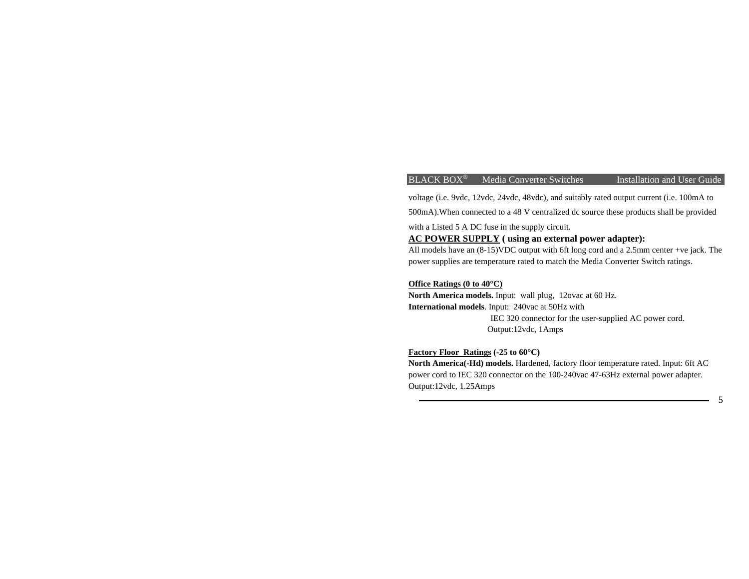5

voltage (i.e. 9vdc, 12vdc, 24vdc, 48vdc), and suitably rated output current (i.e. 100mA to

500mA).When connected to a 48 V centralized dc source these products shall be provided

with a Listed 5 A DC fuse in the supply circuit.

# **AC POWER SUPPLY ( using an external power adapter):**

All models have an (8-15)VDC output with 6ft long cord and a 2.5mm center +ve jack. The power supplies are temperature rated to match the Media Converter Switch ratings.

#### **Office Ratings (0 to 40°C)**

**North America models.** Input: wall plug, 12ovac at 60 Hz. **International models**. Input: 240vac at 50Hz with IEC 320 connector for the user-supplied AC power cord. Output:12vdc, 1Amps

#### **Factory Floor Ratings (-25 to 60°C)**

**North America(-Hd) models.** Hardened, factory floor temperature rated. Input: 6ft AC power cord to IEC 320 connector on the 100-240vac 47-63Hz external power adapter. Output:12vdc, 1.25Amps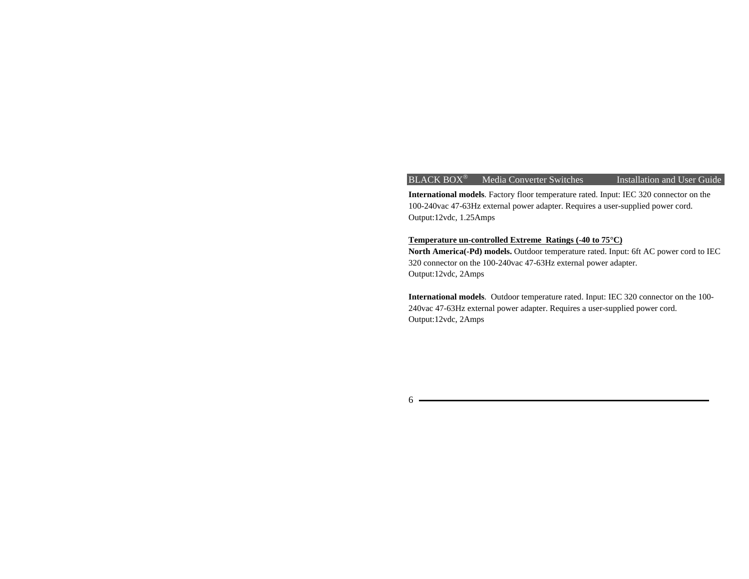### $BLACK$  BOX $^{\circ}$  Media Converter Switches

Installation and User Guide

**International models**. Factory floor temperature rated. Input: IEC 320 connector on the 100-240vac 47-63Hz external power adapter. Requires a user-supplied power cord. Output:12vdc, 1.25Amps

#### **Temperature un-controlled Extreme Ratings (-40 to 75°C)**

**North America(-Pd) models.** Outdoor temperature rated. Input: 6ft AC power cord to IEC 320 connector on the 100-240vac 47-63Hz external power adapter. Output:12vdc, 2Amps

**International models**. Outdoor temperature rated. Input: IEC 320 connector on the 100- 240vac 47-63Hz external power adapter. Requires a user-supplied power cord. Output:12vdc, 2Amps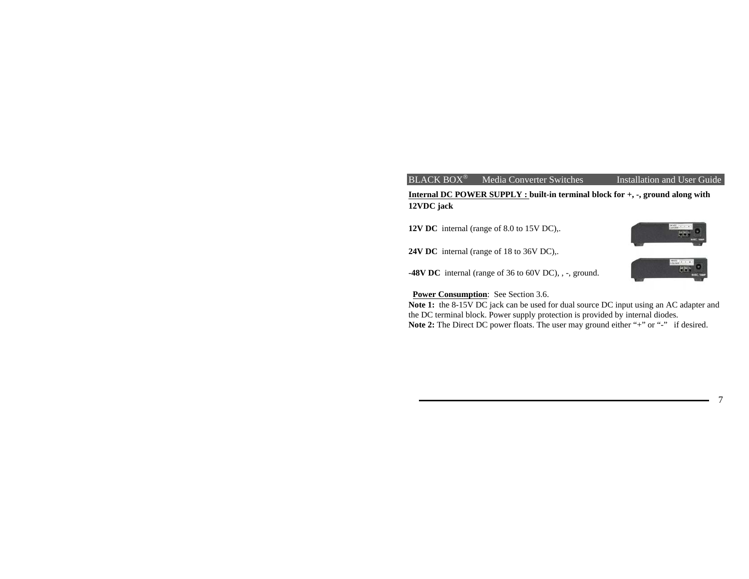# **Internal DC POWER SUPPLY : built-in terminal block for +, -, ground along with 12VDC jack**

**12V DC** internal (range of 8.0 to 15V DC),.

**24V DC** internal (range of 18 to 36V DC),.

**-48V DC** internal (range of 36 to 60V DC), , -, ground.



**Power Consumption:** See Section 3.6.

Note 1: the 8-15V DC jack can be used for dual source DC input using an AC adapter and the DC terminal block. Power supply protection is provided by internal diodes. Note 2: The Direct DC power floats. The user may ground either "+" or "-" if desired.

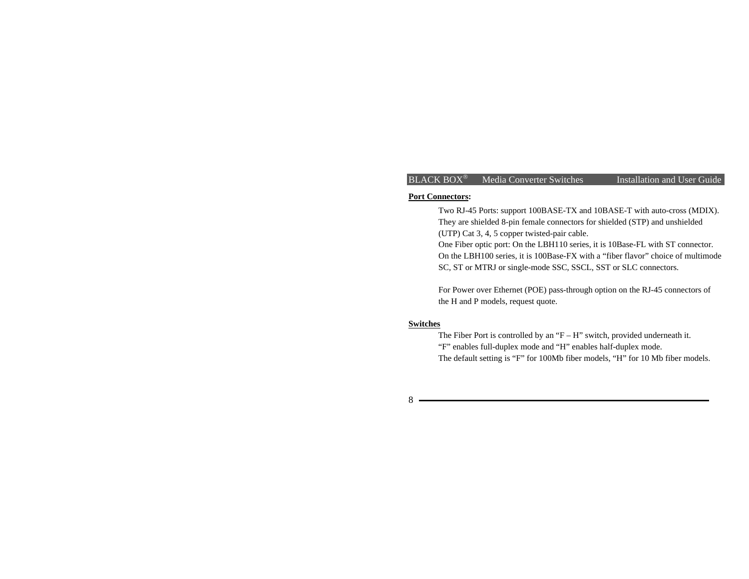#### **Port Connectors:**

Two RJ-45 Ports: support 100BASE-TX and 10BASE-T with auto-cross (MDIX). They are shielded 8-pin female connectors for shielded (STP) and unshielded (UTP) Cat 3, 4, 5 copper twisted-pair cable.

One Fiber optic port: On the LBH110 series, it is 10Base-FL with ST connector. On the LBH100 series, it is 100Base-FX with a "fiber flavor" choice of multimode SC, ST or MTRJ or single-mode SSC, SSCL, SST or SLC connectors.

For Power over Ethernet (POE) pass-through option on the RJ-45 connectors of the H and P models, request quote.

#### **Switches**

 The Fiber Port is controlled by an "F – H" switch, provided underneath it. "F" enables full-duplex mode and "H" enables half-duplex mode. The default setting is "F" for 100Mb fiber models, "H" for 10 Mb fiber models.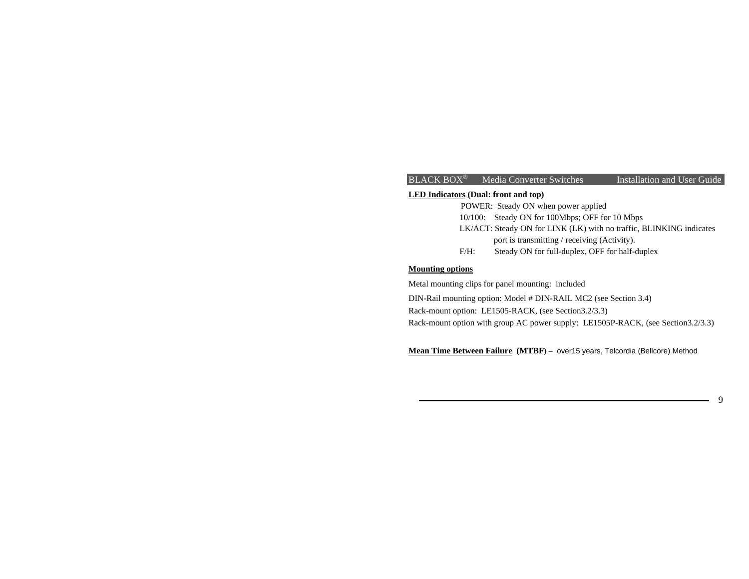#### **LED Indicators (Dual: front and top)**

POWER: Steady ON when power applied 10/100: Steady ON for 100Mbps; OFF for 10 Mbps LK/ACT: Steady ON for LINK (LK) with no traffic, BLINKING indicates port is transmitting / receiving (Activity). F/H: Steady ON for full-duplex, OFF for half-duplex

#### **Mounting options**

Metal mounting clips for panel mounting: included

DIN-Rail mounting option: Model # DIN-RAIL MC2 (see Section 3.4) Rack-mount option: LE1505-RACK, (see Section3.2/3.3) Rack-mount option with group AC power supply: LE1505P-RACK, (see Section3.2/3.3)

**Mean Time Between Failure (MTBF)** – over15 years, Telcordia (Bellcore) Method

9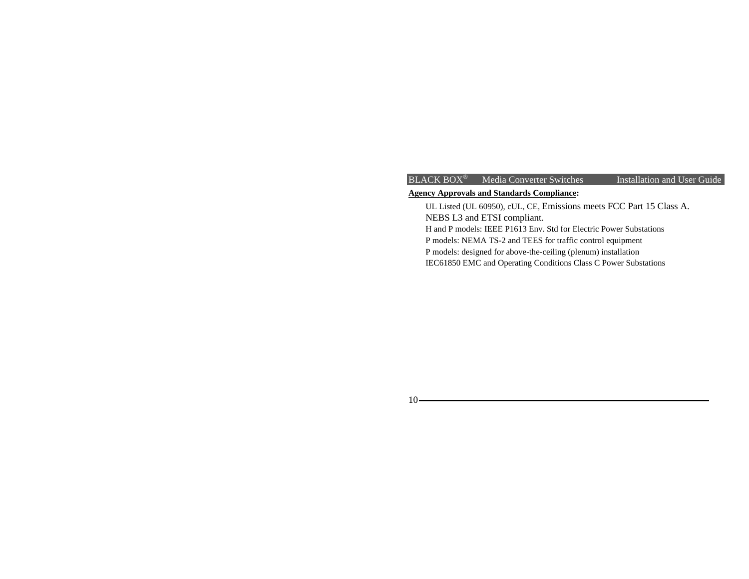# $BLACK$  BOX<sup>®</sup> Media Converter Switches

Installation and User Guide

# **Agency Approvals and Standards Compliance:**

 UL Listed (UL 60950), cUL, CE, Emissions meets FCC Part 15 Class A. NEBS L3 and ETSI compliant.

H and P models: IEEE P1613 Env. Std for Electric Power Substations

P models: NEMA TS-2 and TEES for traffic control equipment

P models: designed for above-the-ceiling (plenum) installation

IEC61850 EMC and Operating Conditions Class C Power Substations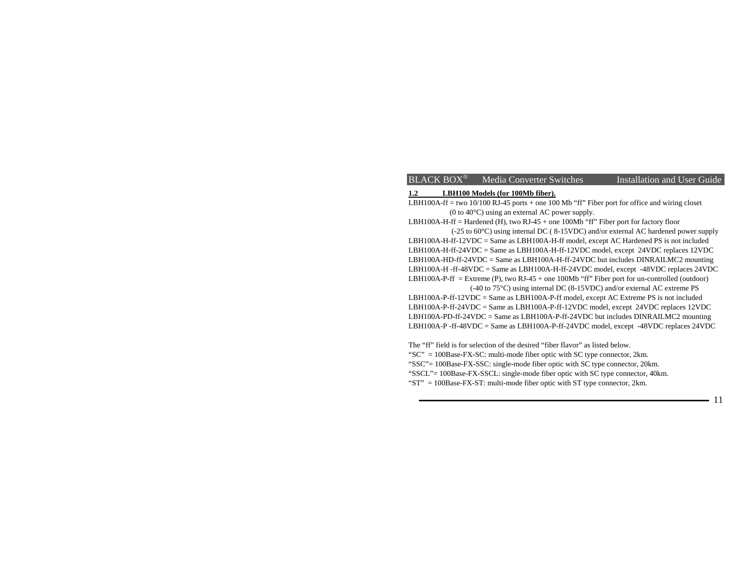#### **1.2 LBH100 Models (for 100Mb fiber).**

LBH100A-ff = two 10/100 RJ-45 ports + one 100 Mb "ff" Fiber port for office and wiring closet (0 to 40°C) using an external AC power supply.

LBH100A-H-ff = Hardened (H), two RJ-45 + one 100Mb "ff" Fiber port for factory floor

 (-25 to 60°C) using internal DC ( 8-15VDC) and/or external AC hardened power supply LBH100A-H-ff-12VDC = Same as LBH100A-H-ff model, except AC Hardened PS is not included LBH100A-H-ff-24VDC = Same as LBH100A-H-ff-12VDC model, except 24VDC replaces 12VDC LBH100A-HD-ff-24VDC = Same as LBH100A-H-ff-24VDC but includes DINRAILMC2 mounting LBH100A-H -ff-48VDC = Same as LBH100A-H-ff-24VDC model, except -48VDC replaces 24VDC LBH100A-P-ff = Extreme (P), two RJ-45 + one 100Mb "ff" Fiber port for un-controlled (outdoor) (-40 to 75°C) using internal DC (8-15VDC) and/or external AC extreme PS

LBH100A-P-ff-12VDC = Same as LBH100A-P-ff model, except AC Extreme PS is not included LBH100A-P-ff-24VDC = Same as LBH100A-P-ff-12VDC model, except 24VDC replaces 12VDC LBH100A-PD-ff-24VDC = Same as LBH100A-P-ff-24VDC but includes DINRAILMC2 mounting LBH100A-P -ff-48VDC = Same as LBH100A-P-ff-24VDC model, except -48VDC replaces 24VDC

The "ff" field is for selection of the desired "fiber flavor" as listed below. "SC" = 100Base-FX-SC: multi-mode fiber optic with SC type connector, 2km. "SSC"= 100Base-FX-SSC: single-mode fiber optic with SC type connector, 20km. "SSCL"= 100Base-FX-SSCL: single-mode fiber optic with SC type connector, 40km. "ST" = 100Base-FX-ST: multi-mode fiber optic with ST type connector, 2km.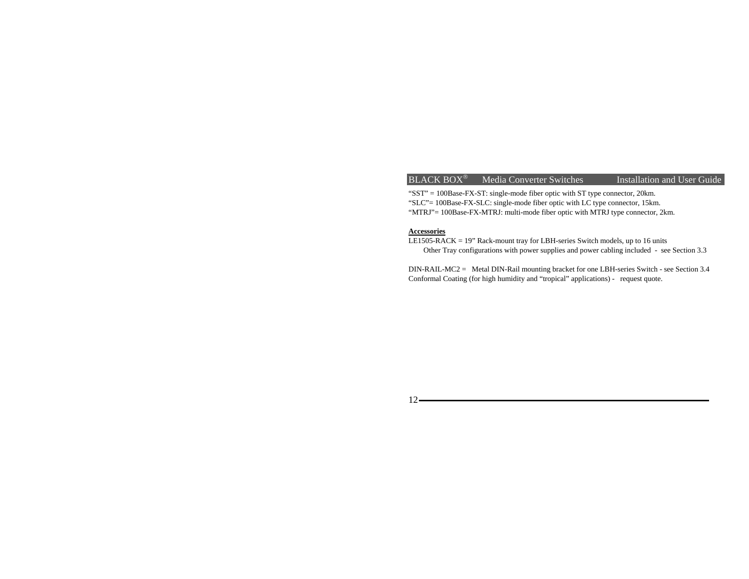"SST" = 100Base-FX-ST: single-mode fiber optic with ST type connector, 20km. "SLC"= 100Base-FX-SLC: single-mode fiber optic with LC type connector, 15km. "MTRJ"= 100Base-FX-MTRJ: multi-mode fiber optic with MTRJ type connector, 2km.

#### **Accessories**

LE1505-RACK = 19" Rack-mount tray for LBH-series Switch models, up to 16 units Other Tray configurations with power supplies and power cabling included - see Section 3.3

DIN-RAIL-MC2 = Metal DIN-Rail mounting bracket for one LBH-series Switch - see Section 3.4 Conformal Coating (for high humidity and "tropical" applications) - request quote.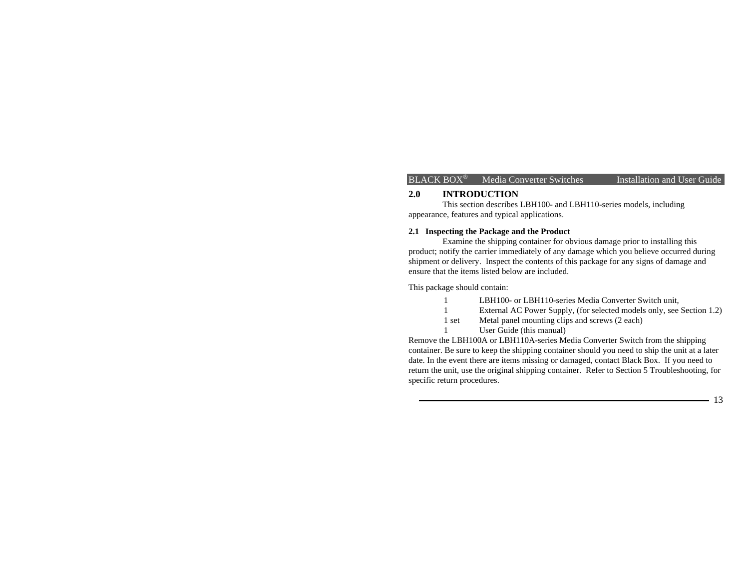#### **2.0 INTRODUCTION**

This section describes LBH100- and LBH110-series models, including appearance, features and typical applications.

#### **2.1 Inspecting the Package and the Product**

 Examine the shipping container for obvious damage prior to installing this product; notify the carrier immediately of any damage which you believe occurred during shipment or delivery. Inspect the contents of this package for any signs of damage and ensure that the items listed below are included.

This package should contain:

- 1 LBH100- or LBH110-series Media Converter Switch unit,
- 1 External AC Power Supply, (for selected models only, see Section 1.2)
- 1 set Metal panel mounting clips and screws (2 each)
- 1 User Guide (this manual)

Remove the LBH100A or LBH110A-series Media Converter Switch from the shipping container. Be sure to keep the shipping container should you need to ship the unit at a later date. In the event there are items missing or damaged, contact Black Box. If you need to return the unit, use the original shipping container. Refer to Section 5 Troubleshooting, for specific return procedures.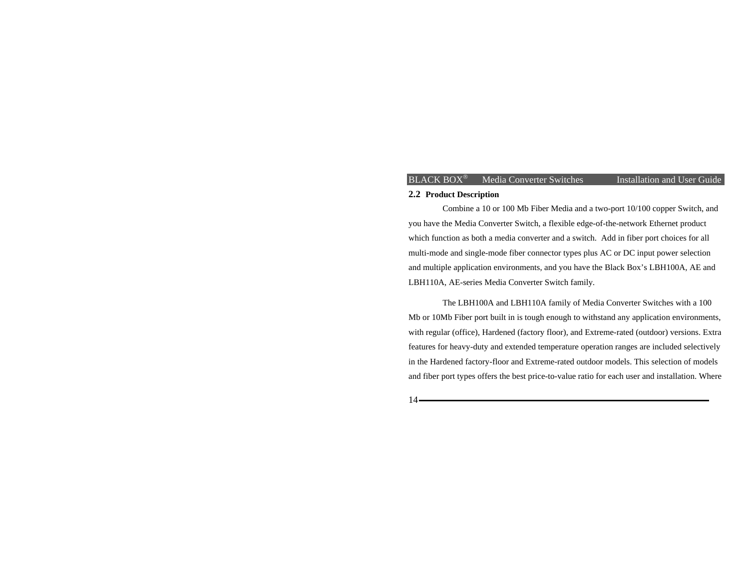#### **2.2 Product Description**

 Combine a 10 or 100 Mb Fiber Media and a two-port 10/100 copper Switch, and you have the Media Converter Switch, a flexible edge-of-the-network Ethernet product which function as both a media converter and a switch. Add in fiber port choices for all multi-mode and single-mode fiber connector types plus AC or DC input power selection and multiple application environments, and you have the Black Box's LBH100A, AE and LBH110A, AE-series Media Converter Switch family*.*

 The LBH100A and LBH110A family of Media Converter Switches with a 100 Mb or 10Mb Fiber port built in is tough enough to withstand any application environments, with regular (office), Hardened (factory floor), and Extreme-rated (outdoor) versions. Extra features for heavy-duty and extended temperature operation ranges are included selectively in the Hardened factory-floor and Extreme-rated outdoor models. This selection of models and fiber port types offers the best price-to-value ratio for each user and installation. Where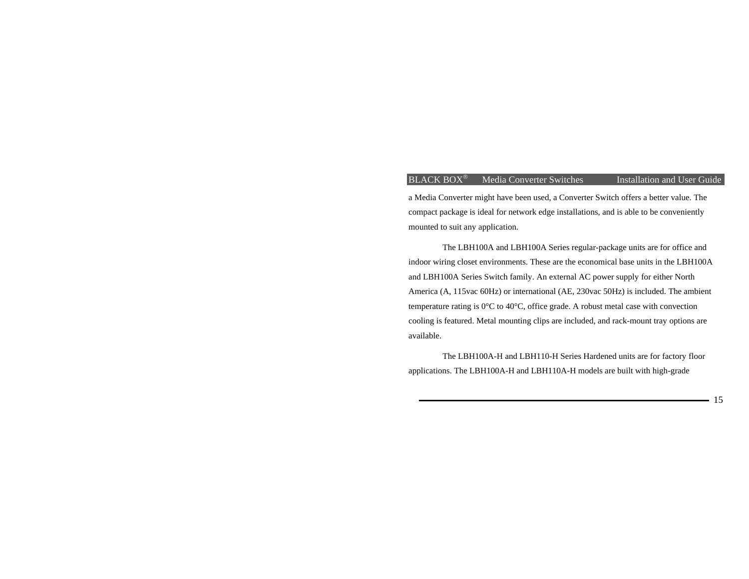a Media Converter might have been used, a Converter Switch offers a better value. The compact package is ideal for network edge installations, and is able to be conveniently mounted to suit any application.

 The LBH100A and LBH100A Series regular-package units are for office and indoor wiring closet environments. These are the economical base units in the LBH100A and LBH100A Series Switch family. An external AC power supply for either North America (A, 115vac 60Hz) or international (AE, 230vac 50Hz) is included. The ambient temperature rating is 0°C to 40°C, office grade. A robust metal case with convection cooling is featured. Metal mounting clips are included, and rack-mount tray options are available.

 The LBH100A-H and LBH110-H Series Hardened units are for factory floor applications. The LBH100A-H and LBH110A-H models are built with high-grade

15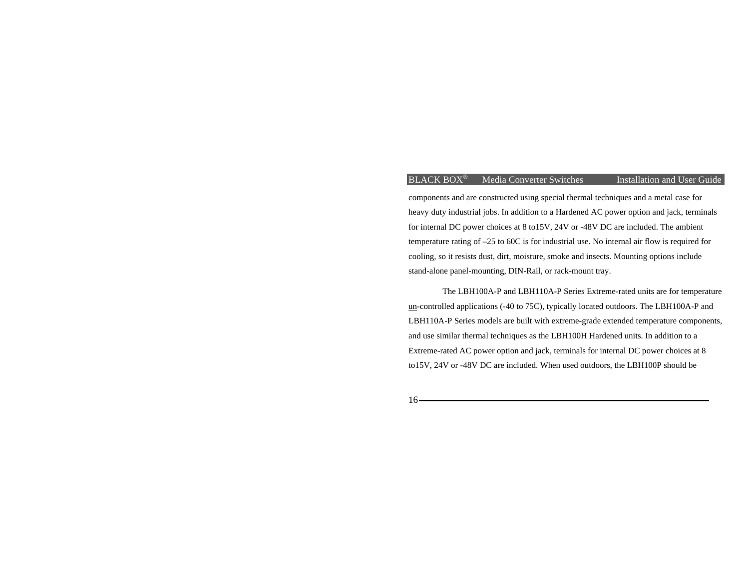# $BLACK$   $BOX^{\circledast}$  Media Converter Switches

Installation and User Guide

components and are constructed using special thermal techniques and a metal case for heavy duty industrial jobs. In addition to a Hardened AC power option and jack, terminals for internal DC power choices at 8 to15V, 24V or -48V DC are included. The ambient temperature rating of –25 to 60C is for industrial use. No internal air flow is required for cooling, so it resists dust, dirt, moisture, smoke and insects. Mounting options include stand-alone panel-mounting, DIN-Rail, or rack-mount tray.

 The LBH100A-P and LBH110A-P Series Extreme-rated units are for temperature un-controlled applications (-40 to 75C), typically located outdoors. The LBH100A-P and LBH110A-P Series models are built with extreme-grade extended temperature components, and use similar thermal techniques as the LBH100H Hardened units. In addition to a Extreme-rated AC power option and jack, terminals for internal DC power choices at 8 to15V, 24V or -48V DC are included. When used outdoors, the LBH100P should be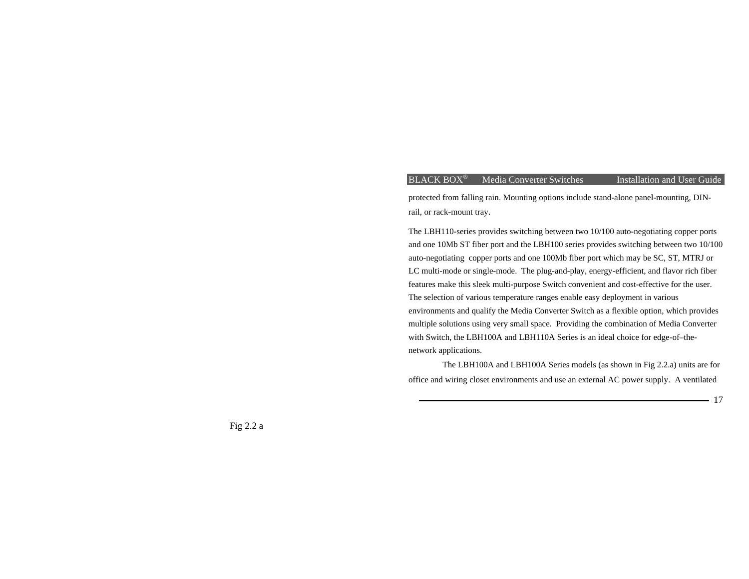17

protected from falling rain. Mounting options include stand-alone panel-mounting, DINrail, or rack-mount tray.

The LBH110-series provides switching between two 10/100 auto-negotiating copper ports and one 10Mb ST fiber port and the LBH100 series provides switching between two 10/100 auto-negotiating copper ports and one 100Mb fiber port which may be SC, ST, MTRJ or LC multi-mode or single-mode. The plug-and-play, energy-efficient, and flavor rich fiber features make this sleek multi-purpose Switch convenient and cost-effective for the user. The selection of various temperature ranges enable easy deployment in various environments and qualify the Media Converter Switch as a flexible option, which provides multiple solutions using very small space. Providing the combination of Media Converter with Switch, the LBH100A and LBH110A Series is an ideal choice for edge-of–thenetwork applications.

The LBH100A and LBH100A Series models (as shown in Fig 2.2.a) units are for office and wiring closet environments and use an external AC power supply. A ventilated

Fig 2.2 a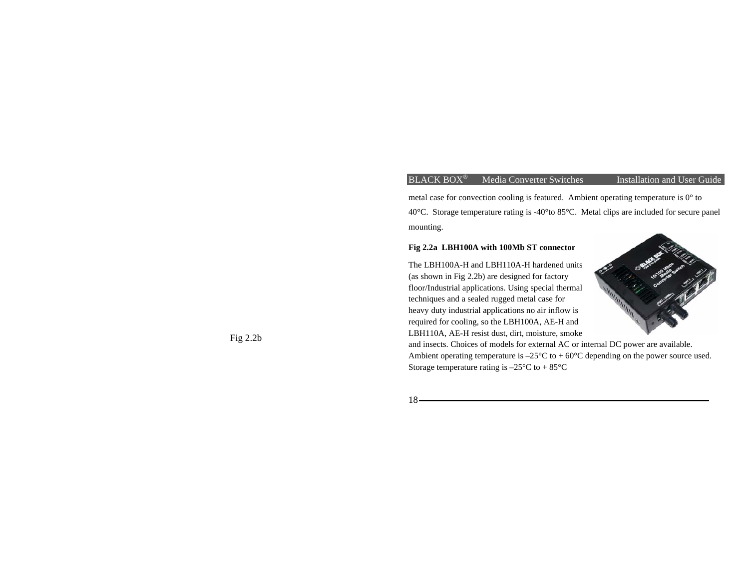metal case for convection cooling is featured. Ambient operating temperature is 0° to 40°C. Storage temperature rating is -40°to 85°C. Metal clips are included for secure panel mounting.

#### **Fig 2.2a LBH100A with 100Mb ST connector**

The LBH100A-H and LBH110A-H hardened units (as shown in Fig 2.2b) are designed for factory floor/Industrial applications. Using special thermal techniques and a sealed rugged metal case for heavy duty industrial applications no air inflow is required for cooling, so the LBH100A, AE-H and LBH110A, AE-H resist dust, dirt, moisture, smoke



and insects. Choices of models for external AC or internal DC power are available. Ambient operating temperature is  $-25^{\circ}\text{C}$  to  $+60^{\circ}\text{C}$  depending on the power source used. Storage temperature rating is  $-25^{\circ}\text{C}$  to  $+85^{\circ}\text{C}$ 

 $18-$ 

Fig 2.2b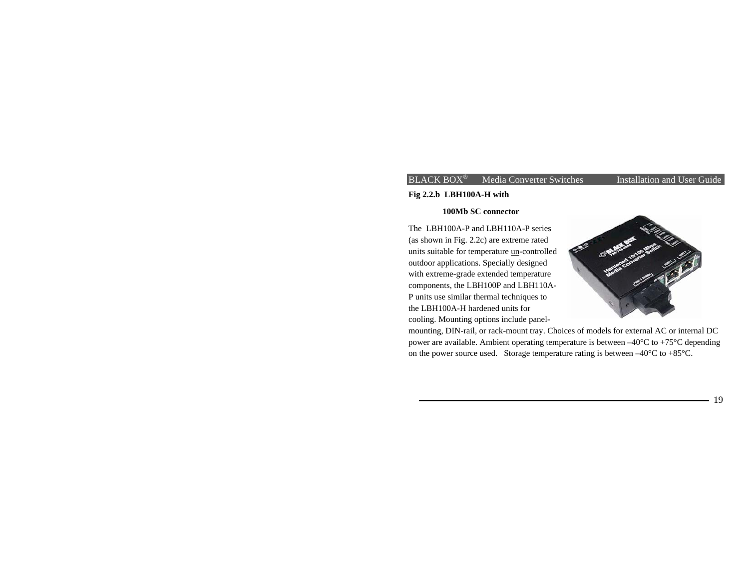# **Fig 2.2.b LBH100A-H with**

#### **100Mb SC connector**

The LBH100A-P and LBH110A-P series (as shown in Fig. 2.2c) are extreme rated units suitable for temperature un-controlled outdoor applications. Specially designed with extreme-grade extended temperature components, the LBH100P and LBH110A-P units use similar thermal techniques to the LBH100A-H hardened units for cooling. Mounting options include panel-



mounting, DIN-rail, or rack-mount tray. Choices of models for external AC or internal DC power are available. Ambient operating temperature is between –40°C to +75°C depending on the power source used. Storage temperature rating is between –40°C to +85°C.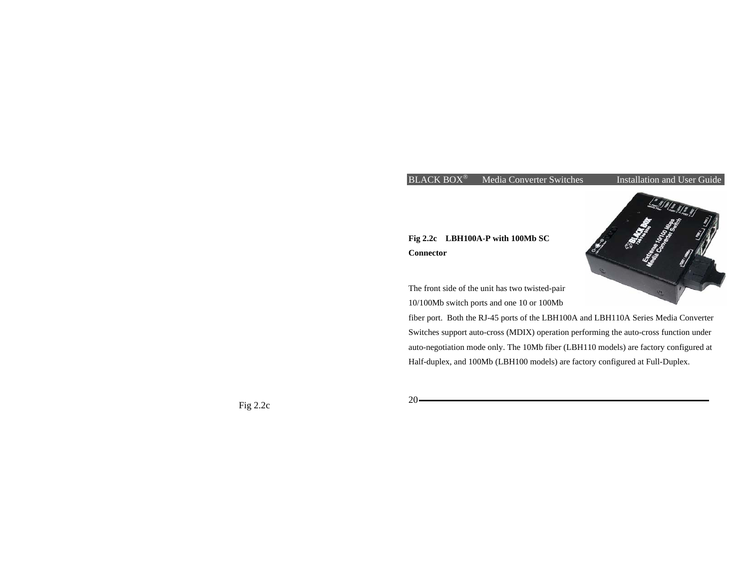# **Fig 2.2c LBH100A-P with 100Mb SC Connector**

The front side of the unit has two twisted-pair 10/100Mb switch ports and one 10 or 100Mb

fiber port. Both the RJ-45 ports of the LBH100A and LBH110A Series Media Converter Switches support auto-cross (MDIX) operation performing the auto-cross function under auto-negotiation mode only. The 10Mb fiber (LBH110 models) are factory configured at Half-duplex, and 100Mb (LBH100 models) are factory configured at Full-Duplex.

Fig 2.2c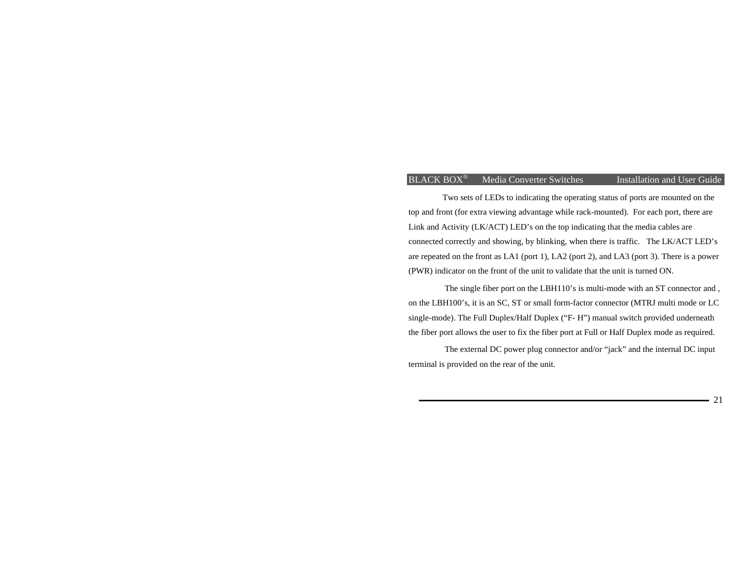Two sets of LEDs to indicating the operating status of ports are mounted on the top and front (for extra viewing advantage while rack-mounted). For each port, there are Link and Activity (LK/ACT) LED's on the top indicating that the media cables are connected correctly and showing, by blinking, when there is traffic. The LK/ACT LED's are repeated on the front as LA1 (port 1), LA2 (port 2), and LA3 (port 3). There is a power (PWR) indicator on the front of the unit to validate that the unit is turned ON.

The single fiber port on the LBH110's is multi-mode with an ST connector and , on the LBH100's, it is an SC, ST or small form-factor connector (MTRJ multi mode or LC single-mode). The Full Duplex/Half Duplex ("F- H") manual switch provided underneath the fiber port allows the user to fix the fiber port at Full or Half Duplex mode as required.

The external DC power plug connector and/or "jack" and the internal DC input terminal is provided on the rear of the unit.

21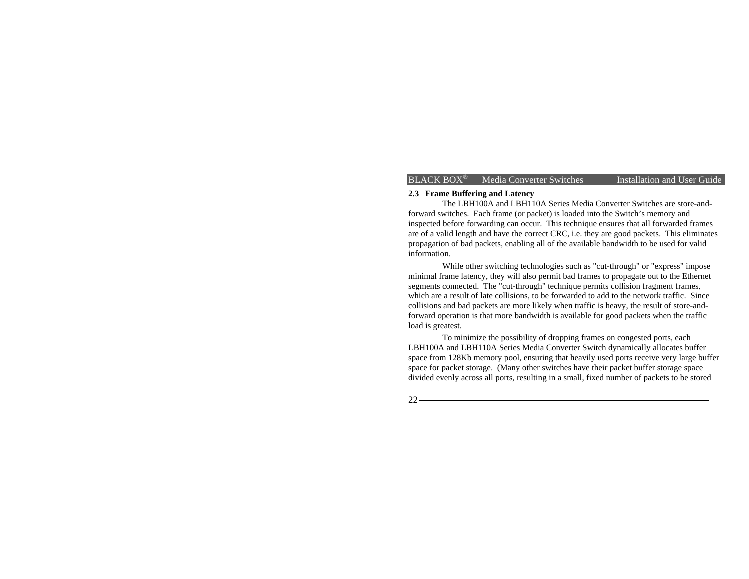#### **2.3 Frame Buffering and Latency**

The LBH100A and LBH110A Series Media Converter Switches are store-andforward switches. Each frame (or packet) is loaded into the Switch's memory and inspected before forwarding can occur. This technique ensures that all forwarded frames are of a valid length and have the correct CRC, i.e. they are good packets. This eliminates propagation of bad packets, enabling all of the available bandwidth to be used for valid information.

 While other switching technologies such as "cut-through" or "express" impose minimal frame latency, they will also permit bad frames to propagate out to the Ethernet segments connected. The "cut-through" technique permits collision fragment frames, which are a result of late collisions, to be forwarded to add to the network traffic. Since collisions and bad packets are more likely when traffic is heavy, the result of store-andforward operation is that more bandwidth is available for good packets when the traffic load is greatest.

To minimize the possibility of dropping frames on congested ports, each LBH100A and LBH110A Series Media Converter Switch dynamically allocates buffer space from 128Kb memory pool, ensuring that heavily used ports receive very large buffer space for packet storage. (Many other switches have their packet buffer storage space divided evenly across all ports, resulting in a small, fixed number of packets to be stored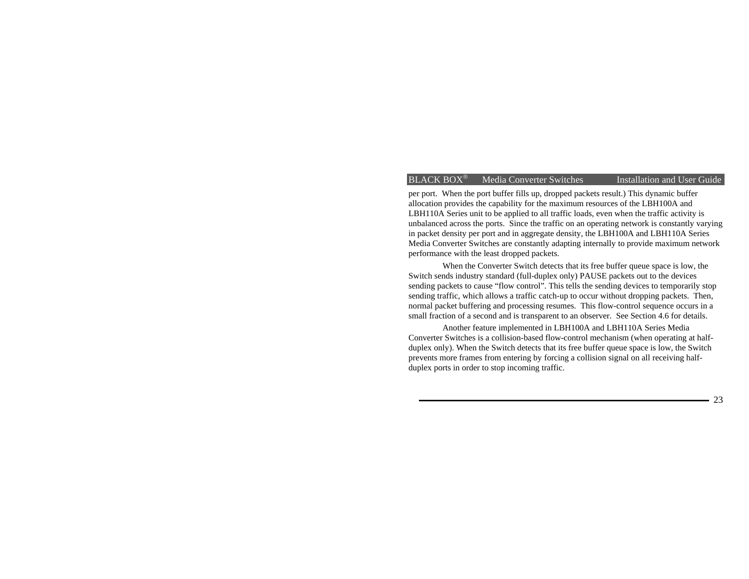per port. When the port buffer fills up, dropped packets result.) This dynamic buffer allocation provides the capability for the maximum resources of the LBH100A and LBH110A Series unit to be applied to all traffic loads, even when the traffic activity is unbalanced across the ports. Since the traffic on an operating network is constantly varying in packet density per port and in aggregate density, the LBH100A and LBH110A Series Media Converter Switches are constantly adapting internally to provide maximum network performance with the least dropped packets.

When the Converter Switch detects that its free buffer queue space is low, the Switch sends industry standard (full-duplex only) PAUSE packets out to the devices sending packets to cause "flow control". This tells the sending devices to temporarily stop sending traffic, which allows a traffic catch-up to occur without dropping packets. Then, normal packet buffering and processing resumes. This flow-control sequence occurs in a small fraction of a second and is transparent to an observer. See Section 4.6 for details.

 Another feature implemented in LBH100A and LBH110A Series Media Converter Switches is a collision-based flow-control mechanism (when operating at halfduplex only). When the Switch detects that its free buffer queue space is low, the Switch prevents more frames from entering by forcing a collision signal on all receiving halfduplex ports in order to stop incoming traffic.

23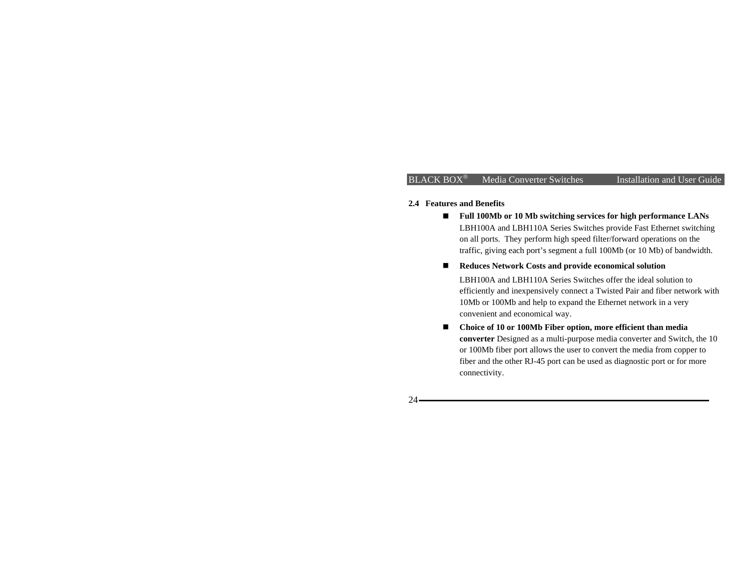#### **2.4 Features and Benefits**

- **Full 100Mb or 10 Mb switching services for high performance LANs**  LBH100A and LBH110A Series Switches provide Fast Ethernet switching on all ports. They perform high speed filter/forward operations on the traffic, giving each port's segment a full 100Mb (or 10 Mb) of bandwidth.
- Reduces Network Costs and provide economical solution LBH100A and LBH110A Series Switches offer the ideal solution to efficiently and inexpensively connect a Twisted Pair and fiber network with 10Mb or 100Mb and help to expand the Ethernet network in a very convenient and economical way.
- **Choice of 10 or 100Mb Fiber option, more efficient than media converter** Designed as a multi-purpose media converter and Switch, the 10 or 100Mb fiber port allows the user to convert the media from copper to fiber and the other RJ-45 port can be used as diagnostic port or for more connectivity.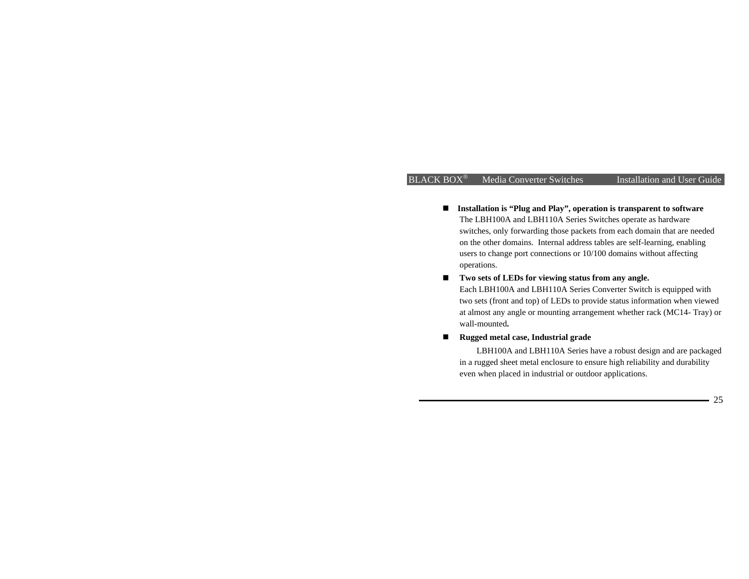- Installation is "Plug and Play", operation is transparent to software The LBH100A and LBH110A Series Switches operate as hardware switches, only forwarding those packets from each domain that are needed on the other domains. Internal address tables are self-learning, enabling users to change port connections or 10/100 domains without affecting operations.
- Two sets of LEDs for viewing status from any angle.

Each LBH100A and LBH110A Series Converter Switch is equipped with two sets (front and top) of LEDs to provide status information when viewed at almost any angle or mounting arrangement whether rack (MC14- Tray) or wall-mounted**.**

**Rugged metal case, Industrial grade** 

LBH100A and LBH110A Series have a robust design and are packaged in a rugged sheet metal enclosure to ensure high reliability and durability even when placed in industrial or outdoor applications.

25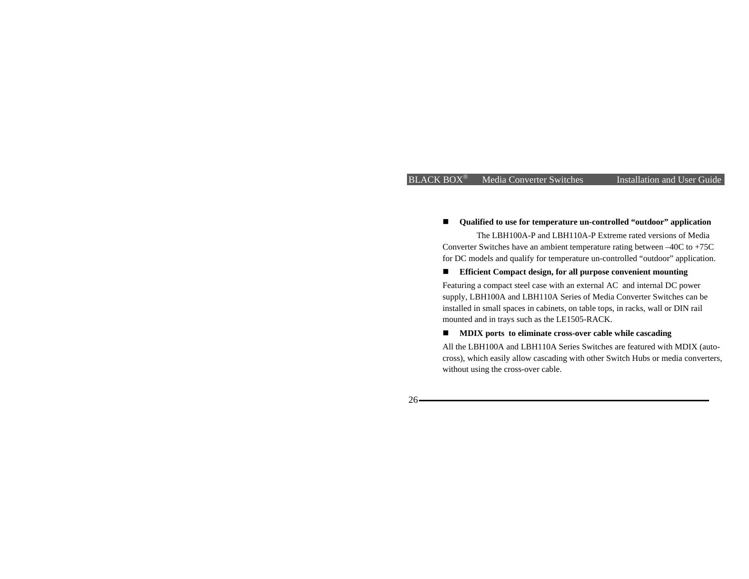#### ■ Qualified to use for temperature un-controlled "outdoor" application

The LBH100A-P and LBH110A-P Extreme rated versions of Media Converter Switches have an ambient temperature rating between –40C to +75C for DC models and qualify for temperature un-controlled "outdoor" application.

#### ■ Efficient Compact design, for all purpose convenient mounting

Featuring a compact steel case with an external AC and internal DC power supply, LBH100A and LBH110A Series of Media Converter Switches can be installed in small spaces in cabinets, on table tops, in racks, wall or DIN rail mounted and in trays such as the LE1505-RACK.

**MDIX ports to eliminate cross-over cable while cascading** 

All the LBH100A and LBH110A Series Switches are featured with MDIX (autocross), which easily allow cascading with other Switch Hubs or media converters, without using the cross-over cable.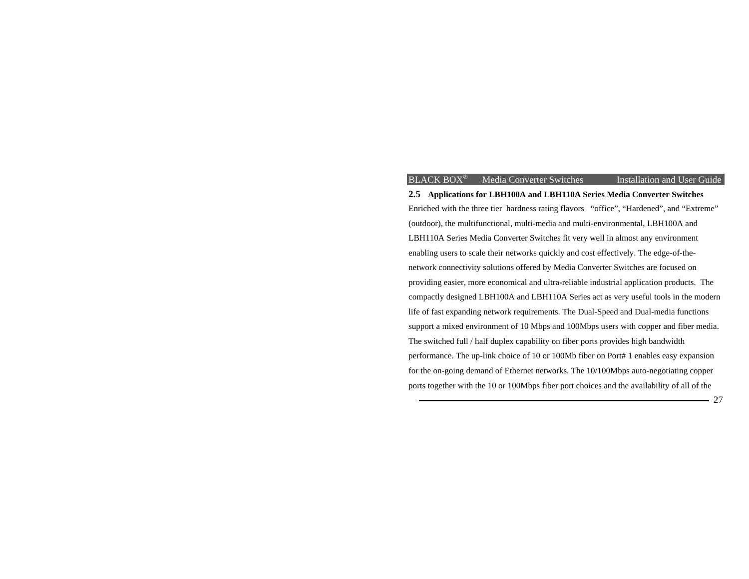**2.5 Applications for LBH100A and LBH110A Series Media Converter Switches**  Enriched with the three tier hardness rating flavors "office", "Hardened", and "Extreme" (outdoor), the multifunctional, multi-media and multi-environmental, LBH100A and LBH110A Series Media Converter Switches fit very well in almost any environment enabling users to scale their networks quickly and cost effectively. The edge-of-thenetwork connectivity solutions offered by Media Converter Switches are focused on providing easier, more economical and ultra-reliable industrial application products. The compactly designed LBH100A and LBH110A Series act as very useful tools in the modern life of fast expanding network requirements. The Dual-Speed and Dual-media functions support a mixed environment of 10 Mbps and 100Mbps users with copper and fiber media. The switched full / half duplex capability on fiber ports provides high bandwidth performance. The up-link choice of 10 or 100Mb fiber on Port# 1 enables easy expansion for the on-going demand of Ethernet networks. The 10/100Mbps auto-negotiating copper ports together with the 10 or 100Mbps fiber port choices and the availability of all of the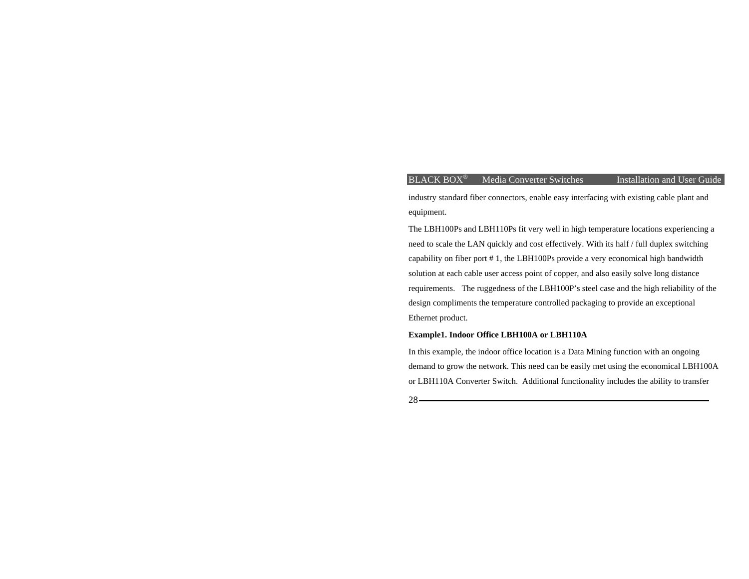industry standard fiber connectors, enable easy interfacing with existing cable plant and equipment.

The LBH100Ps and LBH110Ps fit very well in high temperature locations experiencing a need to scale the LAN quickly and cost effectively. With its half / full duplex switching capability on fiber port # 1, the LBH100Ps provide a very economical high bandwidth solution at each cable user access point of copper, and also easily solve long distance requirements. The ruggedness of the LBH100P's steel case and the high reliability of the design compliments the temperature controlled packaging to provide an exceptional Ethernet product.

## **Example1. Indoor Office LBH100A or LBH110A**

In this example, the indoor office location is a Data Mining function with an ongoing demand to grow the network. This need can be easily met using the economical LBH100A or LBH110A Converter Switch. Additional functionality includes the ability to transfer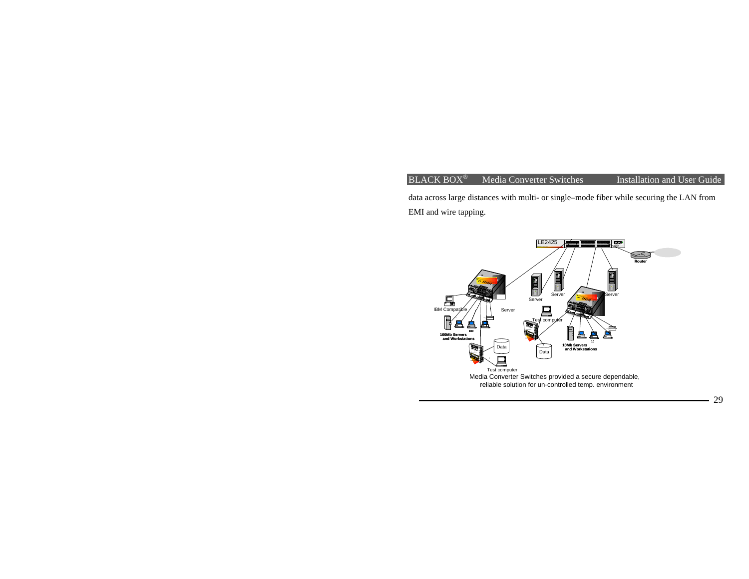data across large distances with multi- or single–mode fiber while securing the LAN from EMI and wire tapping.

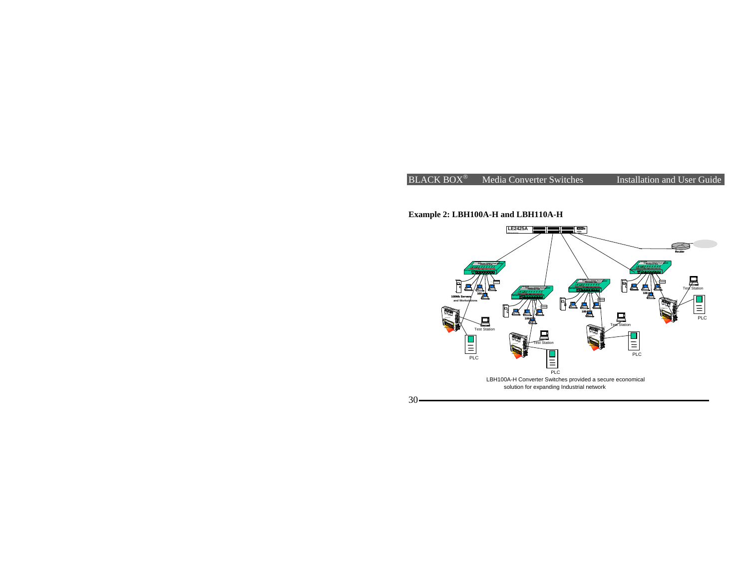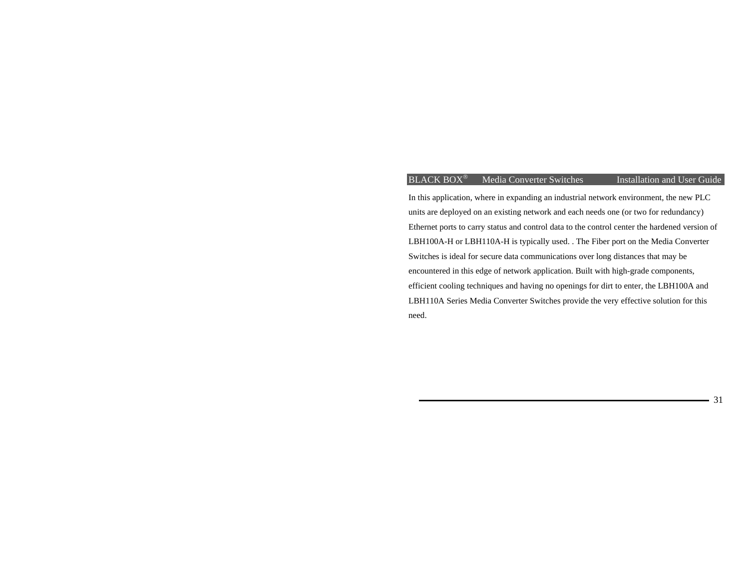## $BLACK$  BOX<sup>®</sup> Media Converter Switches

Installation and User Guide

31

In this application, where in expanding an industrial network environment, the new PLC units are deployed on an existing network and each needs one (or two for redundancy) Ethernet ports to carry status and control data to the control center the hardened version of LBH100A-H or LBH110A-H is typically used. . The Fiber port on the Media Converter Switches is ideal for secure data communications over long distances that may be encountered in this edge of network application. Built with high-grade components, efficient cooling techniques and having no openings for dirt to enter, the LBH100A and LBH110A Series Media Converter Switches provide the very effective solution for this need.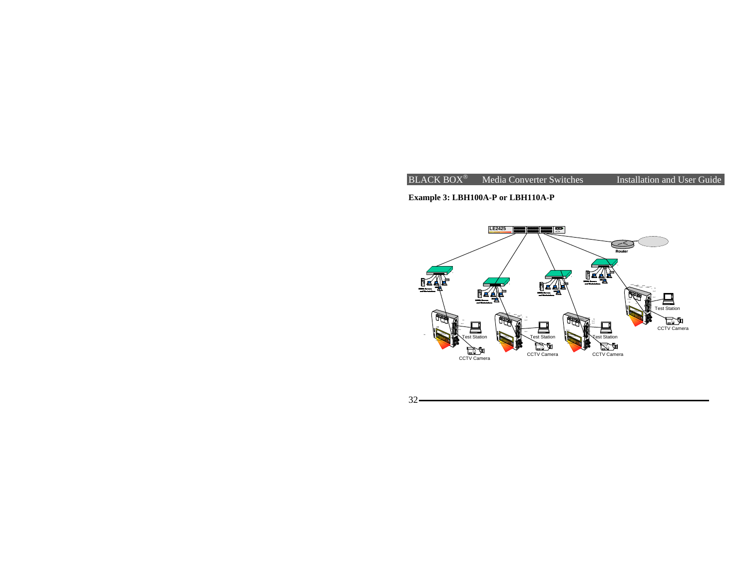

**Example 3: LBH100A-P or LBH110A-P**



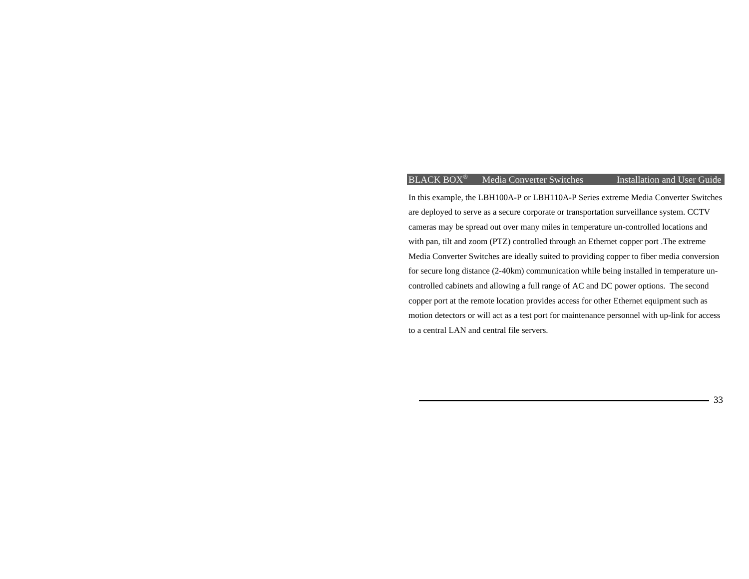In this example, the LBH100A-P or LBH110A-P Series extreme Media Converter Switches are deployed to serve as a secure corporate or transportation surveillance system. CCTV cameras may be spread out over many miles in temperature un-controlled locations and with pan, tilt and zoom (PTZ) controlled through an Ethernet copper port .The extreme Media Converter Switches are ideally suited to providing copper to fiber media conversion for secure long distance (2-40km) communication while being installed in temperature uncontrolled cabinets and allowing a full range of AC and DC power options. The second copper port at the remote location provides access for other Ethernet equipment such as motion detectors or will act as a test port for maintenance personnel with up-link for access to a central LAN and central file servers.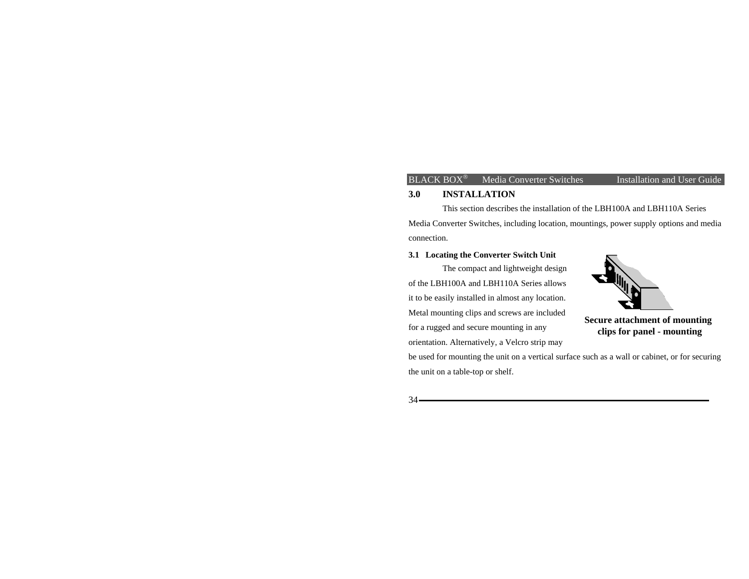#### **3.0 INSTALLATION**

 This section describes the installation of the LBH100A and LBH110A Series Media Converter Switches, including location, mountings, power supply options and media connection.

## **3.1 Locating the Converter Switch Unit**

The compact and lightweight design of the LBH100A and LBH110A Series allows it to be easily installed in almost any location. Metal mounting clips and screws are included for a rugged and secure mounting in any orientation. Alternatively, a Velcro strip may



**Secure attachment of mounting clips for panel - mounting**

be used for mounting the unit on a vertical surface such as a wall or cabinet, or for securing the unit on a table-top or shelf.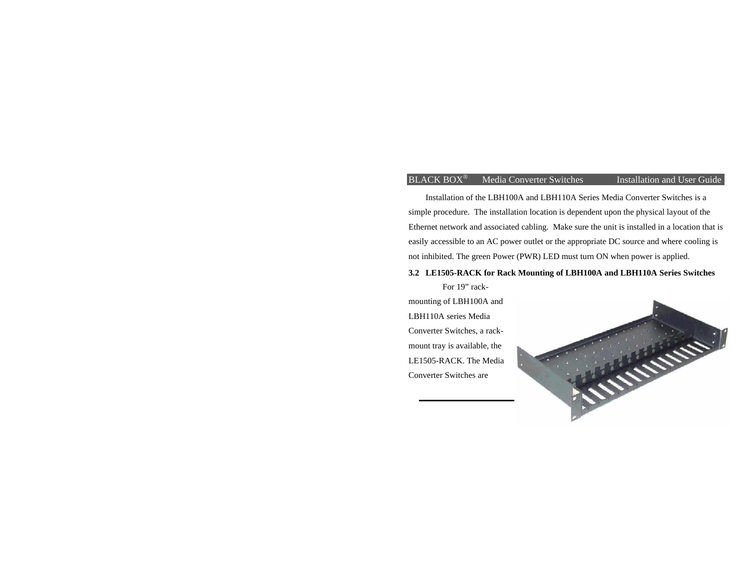Installation of the LBH100A and LBH110A Series Media Converter Switches is a simple procedure. The installation location is dependent upon the physical layout of the Ethernet network and associated cabling. Make sure the unit is installed in a location that is easily accessible to an AC power outlet or the appropriate DC source and where cooling is not inhibited. The green Power (PWR) LED must turn ON when power is applied.

#### **3.2 LE1505-RACK for Rack Mounting of LBH100A and LBH110A Series Switches**

For 19" rackmounting of LBH100A and LBH110A series Media Converter Switches, a rackmount tray is available, the LE1505-RACK. The Media Converter Switches are

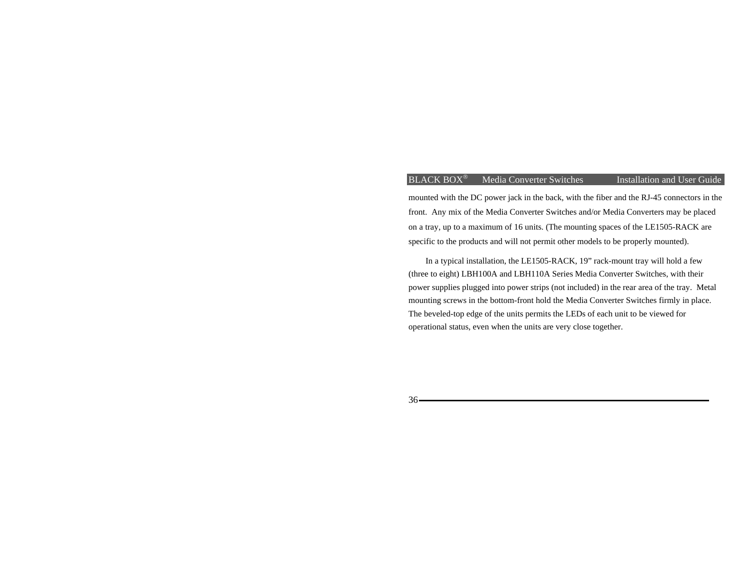mounted with the DC power jack in the back, with the fiber and the RJ-45 connectors in the front. Any mix of the Media Converter Switches and/or Media Converters may be placed on a tray, up to a maximum of 16 units. (The mounting spaces of the LE1505-RACK are specific to the products and will not permit other models to be properly mounted).

In a typical installation, the LE1505-RACK, 19" rack-mount tray will hold a few (three to eight) LBH100A and LBH110A Series Media Converter Switches, with their power supplies plugged into power strips (not included) in the rear area of the tray. Metal mounting screws in the bottom-front hold the Media Converter Switches firmly in place. The beveled-top edge of the units permits the LEDs of each unit to be viewed for operational status, even when the units are very close together.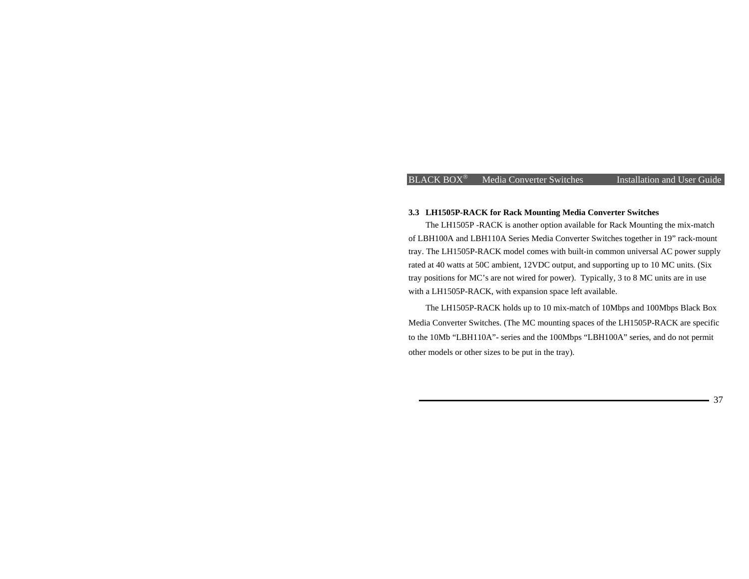#### **3.3 LH1505P-RACK for Rack Mounting Media Converter Switches**

The LH1505P -RACK is another option available for Rack Mounting the mix-match of LBH100A and LBH110A Series Media Converter Switches together in 19" rack-mount tray. The LH1505P-RACK model comes with built-in common universal AC power supply rated at 40 watts at 50C ambient, 12VDC output, and supporting up to 10 MC units. (Six tray positions for MC's are not wired for power). Typically, 3 to 8 MC units are in use with a LH1505P-RACK, with expansion space left available.

The LH1505P-RACK holds up to 10 mix-match of 10Mbps and 100Mbps Black Box Media Converter Switches. (The MC mounting spaces of the LH1505P-RACK are specific to the 10Mb "LBH110A"- series and the 100Mbps "LBH100A" series, and do not permit other models or other sizes to be put in the tray).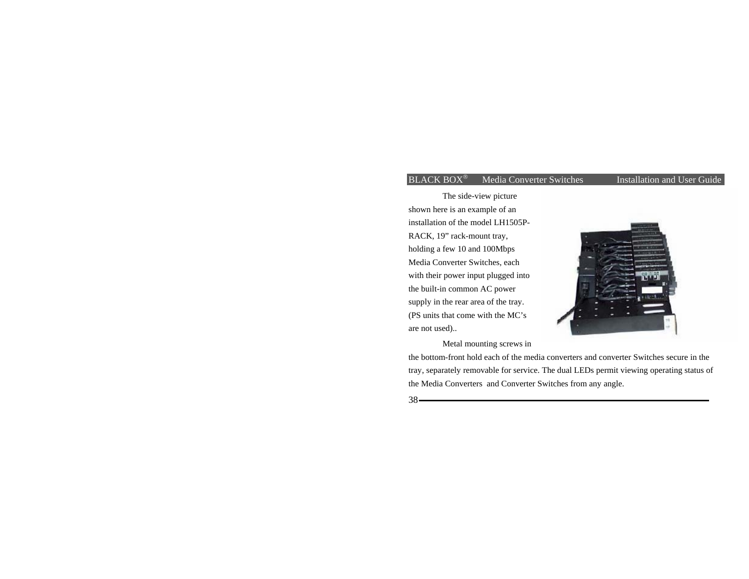The side-view picture shown here is an example of an installation of the model LH1505P-RACK, 19" rack-mount tray, holding a few 10 and 100Mbps Media Converter Switches, each with their power input plugged into the built-in common AC power supply in the rear area of the tray. (PS units that come with the MC's are not used)..



Metal mounting screws in

the bottom-front hold each of the media converters and converter Switches secure in the tray, separately removable for service. The dual LEDs permit viewing operating status of the Media Converters and Converter Switches from any angle.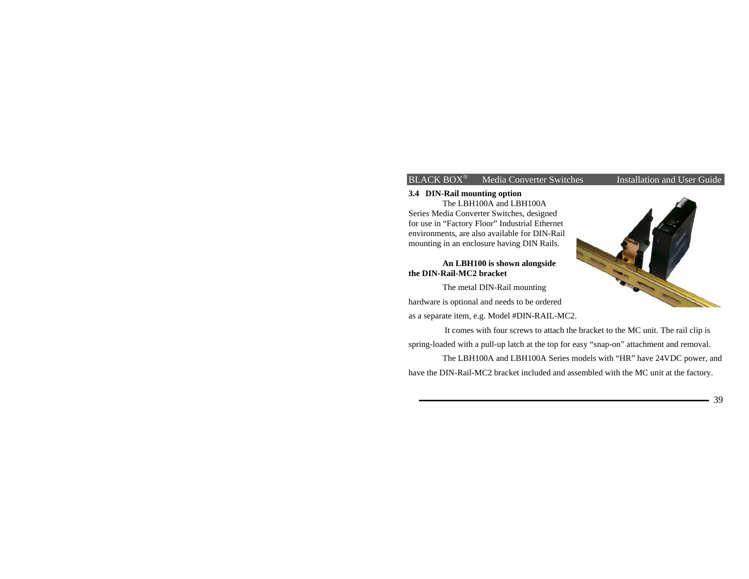# **3.4 DIN-Rail mounting option**

The LBH100A and LBH100A Series Media Converter Switches, designed for use in "Factory Floor" Industrial Ethernet environments, are also available for DIN-Rail mounting in an enclosure having DIN Rails.

## **An LBH100 is shown alongside the DIN-Rail-MC2 bracket**

The metal DIN-Rail mounting hardware is optional and needs to be ordered as a separate item, e.g. Model #DIN-RAIL-MC2.

 It comes with four screws to attach the bracket to the MC unit. The rail clip is spring-loaded with a pull-up latch at the top for easy "snap-on" attachment and removal. The LBH100A and LBH100A Series models with "HR" have 24VDC power, and

have the DIN-Rail-MC2 bracket included and assembled with the MC unit at the factory.

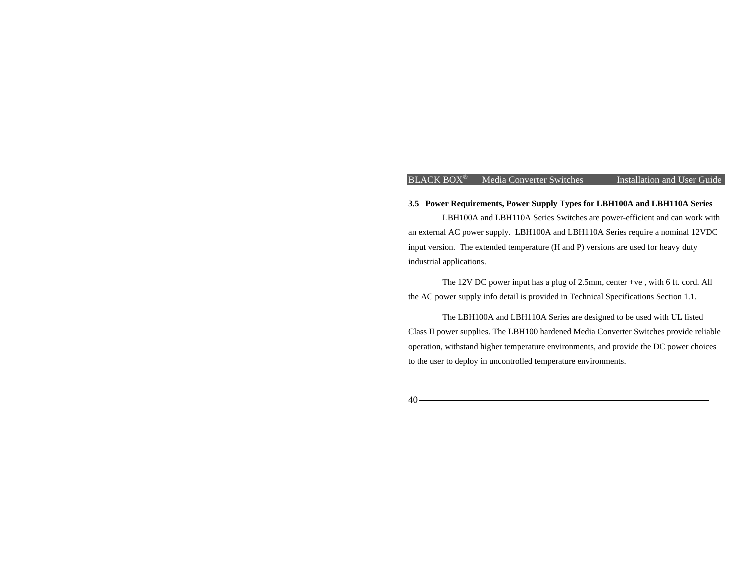## **3.5 Power Requirements, Power Supply Types for LBH100A and LBH110A Series**

 LBH100A and LBH110A Series Switches are power-efficient and can work with an external AC power supply. LBH100A and LBH110A Series require a nominal 12VDC input version. The extended temperature (H and P) versions are used for heavy duty industrial applications.

The 12V DC power input has a plug of 2.5mm, center +ve , with 6 ft. cord. All the AC power supply info detail is provided in Technical Specifications Section 1.1.

 The LBH100A and LBH110A Series are designed to be used with UL listed Class II power supplies. The LBH100 hardened Media Converter Switches provide reliable operation, withstand higher temperature environments, and provide the DC power choices to the user to deploy in uncontrolled temperature environments.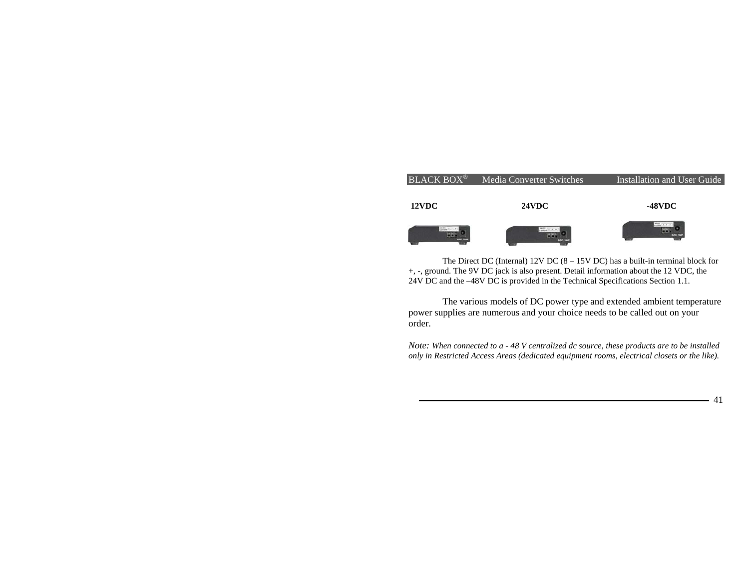

The Direct DC (Internal) 12V DC (8 – 15V DC) has a built-in terminal block for +, -, ground. The 9V DC jack is also present. Detail information about the 12 VDC, the 24V DC and the –48V DC is provided in the Technical Specifications Section 1.1.

The various models of DC power type and extended ambient temperature power supplies are numerous and your choice needs to be called out on your order.

*Note: When connected to a - 48 V centralized dc source, these products are to be installed only in Restricted Access Areas (dedicated equipment rooms, electrical closets or the like).*

41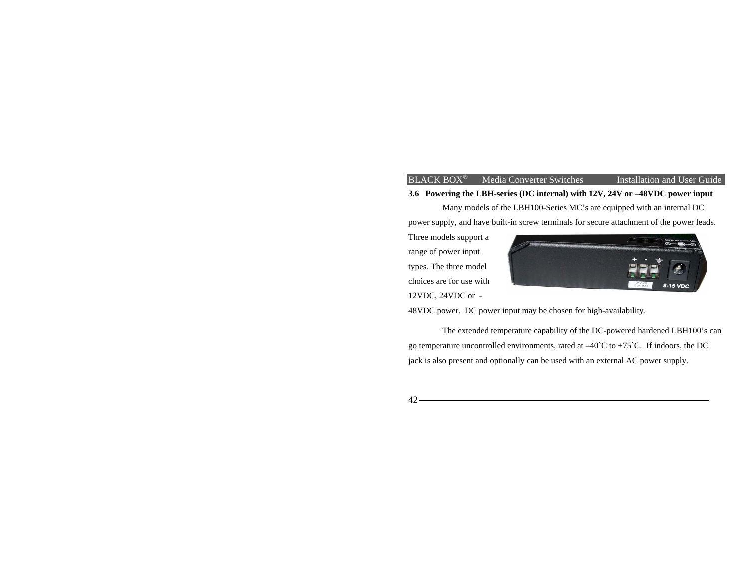## **3.6 Powering the LBH-series (DC internal) with 12V, 24V or –48VDC power input**

Many models of the LBH100-Series MC's are equipped with an internal DC power supply, and have built-in screw terminals for secure attachment of the power leads.

Three models support a range of power input types. The three model choices are for use with 12VDC, 24VDC or -



48VDC power. DC power input may be chosen for high-availability.

 The extended temperature capability of the DC-powered hardened LBH100's can go temperature uncontrolled environments, rated at  $-40^{\circ}$ C to  $+75^{\circ}$ C. If indoors, the DC jack is also present and optionally can be used with an external AC power supply.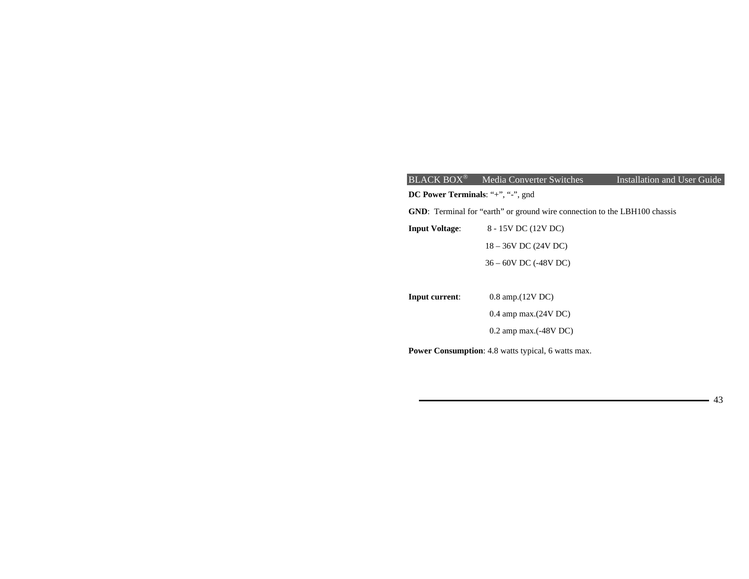| <b>BLACK BOX®</b>                 | Media Converter Switches                                                         | Installation and User Guide |  |  |  |  |  |
|-----------------------------------|----------------------------------------------------------------------------------|-----------------------------|--|--|--|--|--|
| DC Power Terminals: "+", "-", gnd |                                                                                  |                             |  |  |  |  |  |
|                                   | <b>GND:</b> Terminal for "earth" or ground wire connection to the LBH100 chassis |                             |  |  |  |  |  |
| <b>Input Voltage:</b>             | 8 - 15V DC (12V DC)                                                              |                             |  |  |  |  |  |
|                                   | $18 - 36V$ DC (24V DC)                                                           |                             |  |  |  |  |  |
|                                   | 36 - 60V DC (-48V DC)                                                            |                             |  |  |  |  |  |
|                                   |                                                                                  |                             |  |  |  |  |  |
| Input current:                    | $0.8$ amp. $(12V)$ DC                                                            |                             |  |  |  |  |  |
|                                   | $0.4$ amp max. $(24V)$ DC                                                        |                             |  |  |  |  |  |
|                                   | $0.2$ amp max. $(-48V)$ DC                                                       |                             |  |  |  |  |  |
|                                   | Power Consumption: 4.8 watts typical, 6 watts max.                               |                             |  |  |  |  |  |
|                                   |                                                                                  |                             |  |  |  |  |  |

43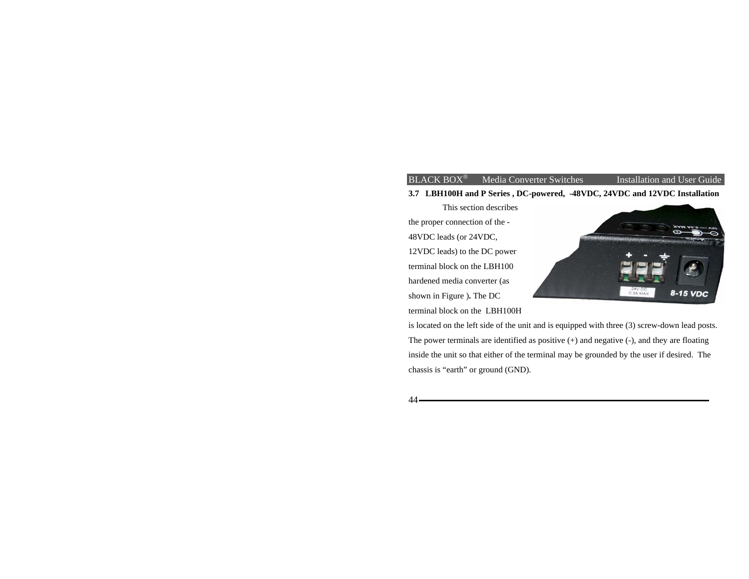## $BLACK$  BOX<sup>®</sup> Media Converter Switches

**3.7 LBH100H and P Series , DC-powered, -48VDC, 24VDC and 12VDC Installation** 

 This section describes the proper connection of the - 48VDC leads (or 24VDC, 12VDC leads) to the DC power terminal block on the LBH100 hardened media converter (as shown in Figure )**.** The DC terminal block on the LBH100H



Installation and User Guide

is located on the left side of the unit and is equipped with three (3) screw-down lead posts. The power terminals are identified as positive (+) and negative (-), and they are floating inside the unit so that either of the terminal may be grounded by the user if desired. The chassis is "earth" or ground (GND).

44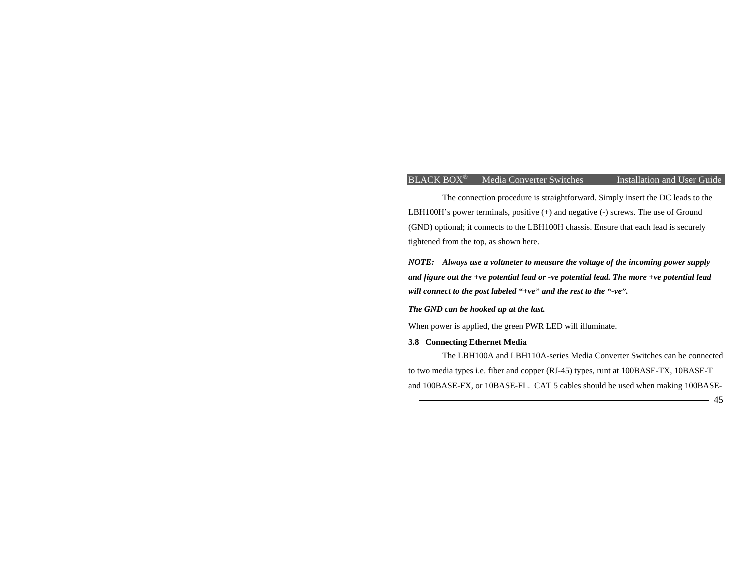The connection procedure is straightforward. Simply insert the DC leads to the LBH100H's power terminals, positive (+) and negative (-) screws. The use of Ground (GND) optional; it connects to the LBH100H chassis. Ensure that each lead is securely tightened from the top, as shown here.

*NOTE: Always use a voltmeter to measure the voltage of the incoming power supply and figure out the +ve potential lead or -ve potential lead. The more +ve potential lead will connect to the post labeled "+ve" and the rest to the "-ve".* 

*The GND can be hooked up at the last.* 

When power is applied, the green PWR LED will illuminate.

### **3.8 Connecting Ethernet Media**

The LBH100A and LBH110A-series Media Converter Switches can be connected to two media types i.e. fiber and copper (RJ-45) types, runt at 100BASE-TX, 10BASE-T and 100BASE-FX, or 10BASE-FL. CAT 5 cables should be used when making 100BASE-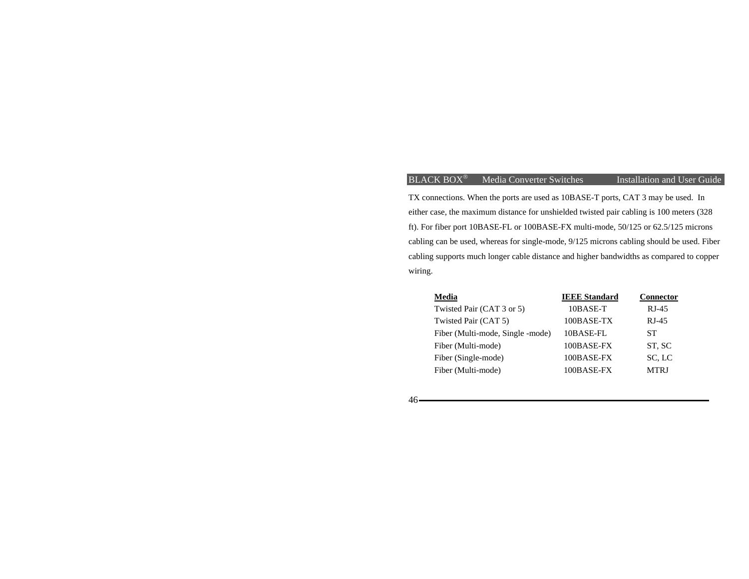# BLACK BOX<sup>®</sup> Media Converter Switches

Installation and User Guide

TX connections. When the ports are used as 10BASE-T ports, CAT 3 may be used. In either case, the maximum distance for unshielded twisted pair cabling is 100 meters (328 ft). For fiber port 10BASE-FL or 100BASE-FX multi-mode, 50/125 or 62.5/125 microns cabling can be used, whereas for single-mode, 9/125 microns cabling should be used. Fiber cabling supports much longer cable distance and higher bandwidths as compared to copper wiring.

| Media                            | <b>IEEE Standard</b> | <b>Connector</b> |  |  |
|----------------------------------|----------------------|------------------|--|--|
| Twisted Pair (CAT 3 or 5)        | 10BASE-T             | $RJ-45$          |  |  |
| Twisted Pair (CAT 5)             | 100BASE-TX           | $RI-45$          |  |  |
| Fiber (Multi-mode, Single -mode) | 10BASE-FL            | SТ               |  |  |
| Fiber (Multi-mode)               | 100BASE-FX           | ST, SC           |  |  |
| Fiber (Single-mode)              | $100$ BASE-FX        | SC, LC           |  |  |
| Fiber (Multi-mode)               | 100BASE-FX           | <b>MTRI</b>      |  |  |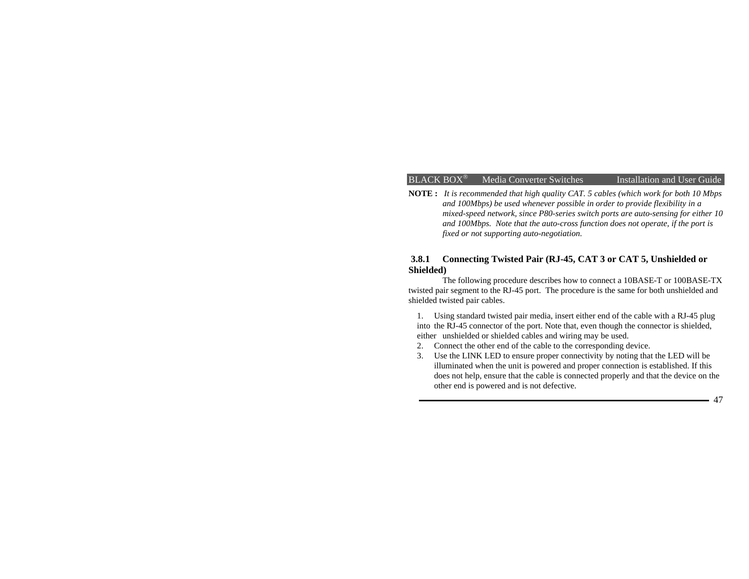**NOTE :** *It is recommended that high quality CAT. 5 cables (which work for both 10 Mbps and 100Mbps) be used whenever possible in order to provide flexibility in a mixed-speed network, since P80-series switch ports are auto-sensing for either 10 and 100Mbps. Note that the auto-cross function does not operate, if the port is fixed or not supporting auto-negotiation.* 

## **3.8.1 Connecting Twisted Pair (RJ-45, CAT 3 or CAT 5, Unshielded or Shielded)**

 The following procedure describes how to connect a 10BASE-T or 100BASE-TX twisted pair segment to the RJ-45 port. The procedure is the same for both unshielded and shielded twisted pair cables.

1. Using standard twisted pair media, insert either end of the cable with a RJ-45 plug into the RJ-45 connector of the port. Note that, even though the connector is shielded, either unshielded or shielded cables and wiring may be used.

- 2. Connect the other end of the cable to the corresponding device.
- 3. Use the LINK LED to ensure proper connectivity by noting that the LED will be illuminated when the unit is powered and proper connection is established. If this does not help, ensure that the cable is connected properly and that the device on the other end is powered and is not defective.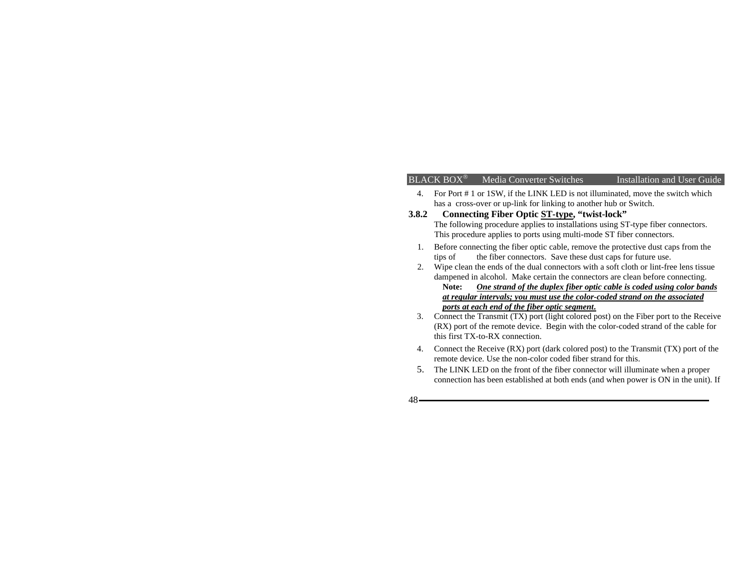## $BLACK$  BOX<sup>®</sup> Media Converter Switches

Installation and User Guide

- 4. For Port # 1 or 1SW, if the LINK LED is not illuminated, move the switch which has a cross-over or up-link for linking to another hub or Switch.
- **3.8.2 Connecting Fiber Optic ST-type, "twist-lock"**  The following procedure applies to installations using ST-type fiber connectors. This procedure applies to ports using multi-mode ST fiber connectors.
	- 1. Before connecting the fiber optic cable, remove the protective dust caps from the tips of the fiber connectors. Save these dust caps for future use.
	- 2. Wipe clean the ends of the dual connectors with a soft cloth or lint-free lens tissue dampened in alcohol. Make certain the connectors are clean before connecting. **Note:** *One strand of the duplex fiber optic cable is coded using color bands at regular intervals; you must use the color-coded strand on the associated*

*ports at each end of the fiber optic segment***.**

- 3. Connect the Transmit (TX) port (light colored post) on the Fiber port to the Receive (RX) port of the remote device. Begin with the color-coded strand of the cable for this first TX-to-RX connection.
- 4. Connect the Receive (RX) port (dark colored post) to the Transmit (TX) port of the remote device. Use the non-color coded fiber strand for this.
- 5. The LINK LED on the front of the fiber connector will illuminate when a proper connection has been established at both ends (and when power is ON in the unit). If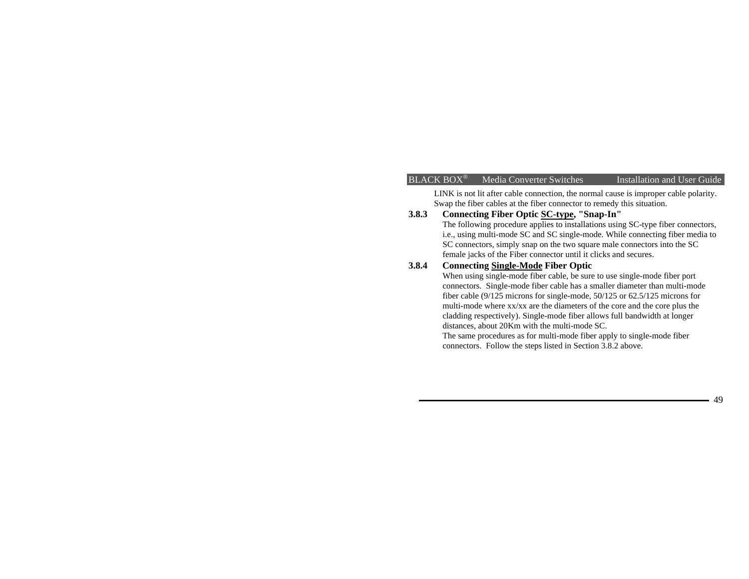LINK is not lit after cable connection, the normal cause is improper cable polarity. Swap the fiber cables at the fiber connector to remedy this situation.

# **3.8.3 Connecting Fiber Optic SC-type, "Snap-In"**

The following procedure applies to installations using SC-type fiber connectors, i.e., using multi-mode SC and SC single-mode. While connecting fiber media to SC connectors, simply snap on the two square male connectors into the SC female jacks of the Fiber connector until it clicks and secures.

# **3.8.4 Connecting Single-Mode Fiber Optic**

When using single-mode fiber cable, be sure to use single-mode fiber port connectors. Single-mode fiber cable has a smaller diameter than multi-mode fiber cable (9/125 microns for single-mode, 50/125 or 62.5/125 microns for multi-mode where xx/xx are the diameters of the core and the core plus the cladding respectively). Single-mode fiber allows full bandwidth at longer distances, about 20Km with the multi-mode SC.

The same procedures as for multi-mode fiber apply to single-mode fiber connectors. Follow the steps listed in Section 3.8.2 above.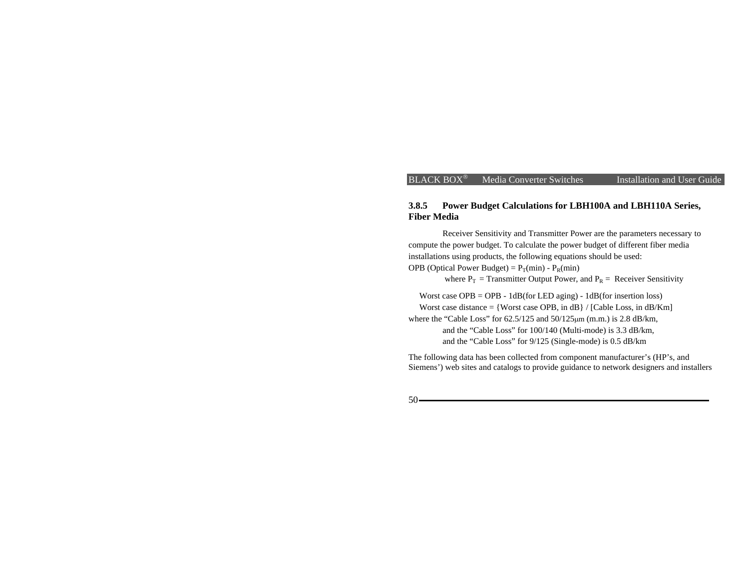## **3.8.5 Power Budget Calculations for LBH100A and LBH110A Series, Fiber Media**

Receiver Sensitivity and Transmitter Power are the parameters necessary to compute the power budget. To calculate the power budget of different fiber media installations using products, the following equations should be used: OPB (Optical Power Budget) =  $P_T(min) - P_R(min)$ 

where  $P_T$  = Transmitter Output Power, and  $P_R$  = Receiver Sensitivity

 Worst case OPB = OPB - 1dB(for LED aging) - 1dB(for insertion loss) Worst case distance  $=$  {Worst case OPB, in dB } / [Cable Loss, in dB/Km] where the "Cable Loss" for 62.5/125 and 50/125µm (m.m.) is 2.8 dB/km, and the "Cable Loss" for 100/140 (Multi-mode) is 3.3 dB/km, and the "Cable Loss" for 9/125 (Single-mode) is 0.5 dB/km

The following data has been collected from component manufacturer's (HP's, and Siemens') web sites and catalogs to provide guidance to network designers and installers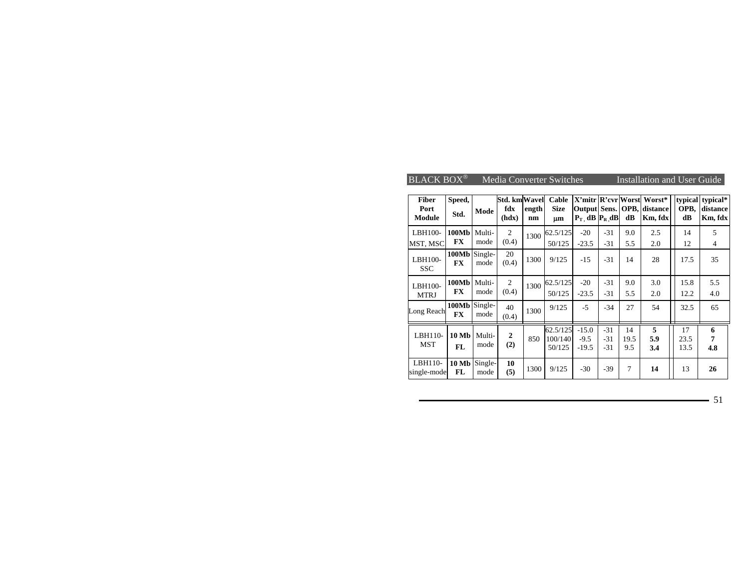| <b>BLACK BOX®</b><br><b>Media Converter Switches</b><br>Installation and User Guide |                       |                 |                                     |             |                               |                              |                         |                   |                                                                           |                       |                                 |
|-------------------------------------------------------------------------------------|-----------------------|-----------------|-------------------------------------|-------------|-------------------------------|------------------------------|-------------------------|-------------------|---------------------------------------------------------------------------|-----------------------|---------------------------------|
| <b>Fiber</b><br>Port<br>Module                                                      | Speed,<br>Std.        | Mode            | <b>Std. kmWavel</b><br>fdx<br>(hdx) | ength<br>nm | Cable<br><b>Size</b><br>μm    | $P_T$ dB $P_R$ dB            |                         | dB                | X'mitr R'evr Worst Worst*<br><b>Output Sens. OPB, distance</b><br>Km, fdx | typical<br>OPB.<br>dB | typical*<br>distance<br>Km, fdx |
| LBH100-<br>MST, MSC                                                                 | 100Mb<br>FX           | Multi-<br>mode  | $\overline{2}$<br>(0.4)             | 1300        | 62.5/125<br>50/125            | $-20$<br>$-23.5$             | $-31$<br>$-31$          | 9.0<br>5.5        | 2.5<br>2.0                                                                | 14<br>12              | 5<br>4                          |
| LBH100-<br><b>SSC</b>                                                               | 100Mb Single-<br>FX   | mode            | 20<br>(0.4)                         | 1300        | 9/125                         | $-15$                        | $-31$                   | 14                | 28                                                                        | 17.5                  | 35                              |
| LBH100-<br><b>MTRJ</b>                                                              | 100Mb<br>FX           | Multi-<br>mode  | $\mathfrak{2}$<br>(0.4)             | 1300        | 62.5/125<br>50/125            | $-20$<br>$-23.5$             | $-31$<br>$-31$          | 9.0<br>5.5        | 3.0<br>2.0                                                                | 15.8<br>12.2          | 5.5<br>4.0                      |
| Long Reach                                                                          | 100Mb<br><b>FX</b>    | Single-<br>mode | 40<br>(0.4)                         | 1300        | 9/125                         | $-5$                         | $-34$                   | 27                | 54                                                                        | 32.5                  | 65                              |
| LBH110-<br><b>MST</b>                                                               | <b>10 Mb</b><br>FL.   | Multi-<br>mode  | $\mathbf{2}$<br>(2)                 | 850         | 62.5/125<br>100/140<br>50/125 | $-15.0$<br>$-9.5$<br>$-19.5$ | $-31$<br>$-31$<br>$-31$ | 14<br>19.5<br>9.5 | 5<br>5.9<br>3.4                                                           | 17<br>23.5<br>13.5    | 6<br>7<br>4.8                   |
| LBH110-<br>single-mode                                                              | $10 \text{ Mb}$<br>FL | Single-<br>mode | 10<br>(5)                           | 1300        | 9/125                         | $-30$                        | $-39$                   | 7                 | 14                                                                        | 13                    | 26                              |

51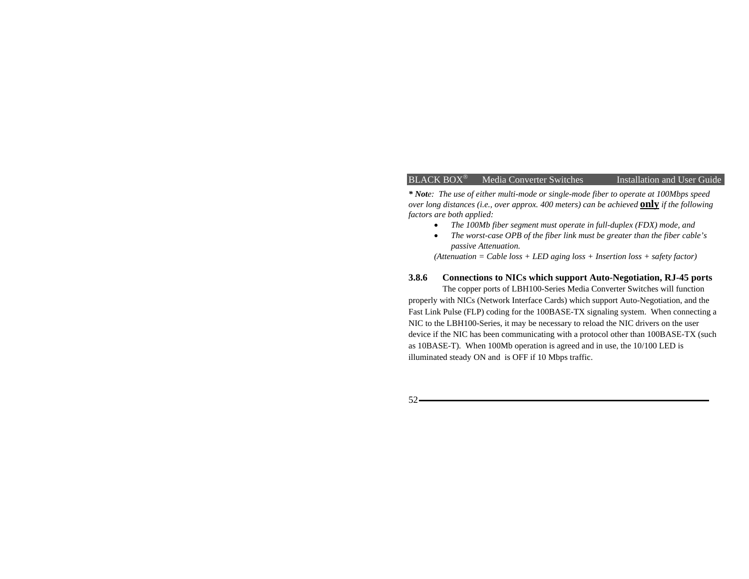*\* Note: The use of either multi-mode or single-mode fiber to operate at 100Mbps speed over long distances (i.e., over approx. 400 meters) can be achieved* **only** *if the following factors are both applied:* 

- *The 100Mb fiber segment must operate in full-duplex (FDX) mode, and*
- *The worst-case OPB of the fiber link must be greater than the fiber cable's passive Attenuation.*

*(Attenuation = Cable loss + LED aging loss + Insertion loss + safety factor)* 

## **3.8.6 Connections to NICs which support Auto-Negotiation, RJ-45 ports**

The copper ports of LBH100-Series Media Converter Switches will function properly with NICs (Network Interface Cards) which support Auto-Negotiation, and the Fast Link Pulse (FLP) coding for the 100BASE-TX signaling system. When connecting a NIC to the LBH100-Series, it may be necessary to reload the NIC drivers on the user device if the NIC has been communicating with a protocol other than 100BASE-TX (such as 10BASE-T). When 100Mb operation is agreed and in use, the 10/100 LED is illuminated steady ON and is OFF if 10 Mbps traffic.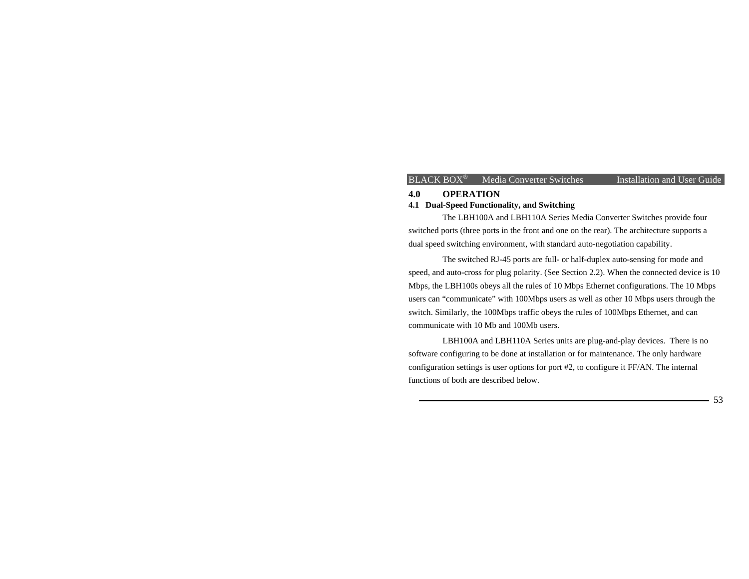## **4.0 OPERATION 4.1 Dual-Speed Functionality, and Switching**

The LBH100A and LBH110A Series Media Converter Switches provide four switched ports (three ports in the front and one on the rear). The architecture supports a dual speed switching environment, with standard auto-negotiation capability.

The switched RJ-45 ports are full- or half-duplex auto-sensing for mode and speed, and auto-cross for plug polarity. (See Section 2.2). When the connected device is 10 Mbps, the LBH100s obeys all the rules of 10 Mbps Ethernet configurations. The 10 Mbps users can "communicate" with 100Mbps users as well as other 10 Mbps users through the switch. Similarly, the 100Mbps traffic obeys the rules of 100Mbps Ethernet, and can communicate with 10 Mb and 100Mb users.

LBH100A and LBH110A Series units are plug-and-play devices. There is no software configuring to be done at installation or for maintenance. The only hardware configuration settings is user options for port #2, to configure it FF/AN. The internal functions of both are described below.

53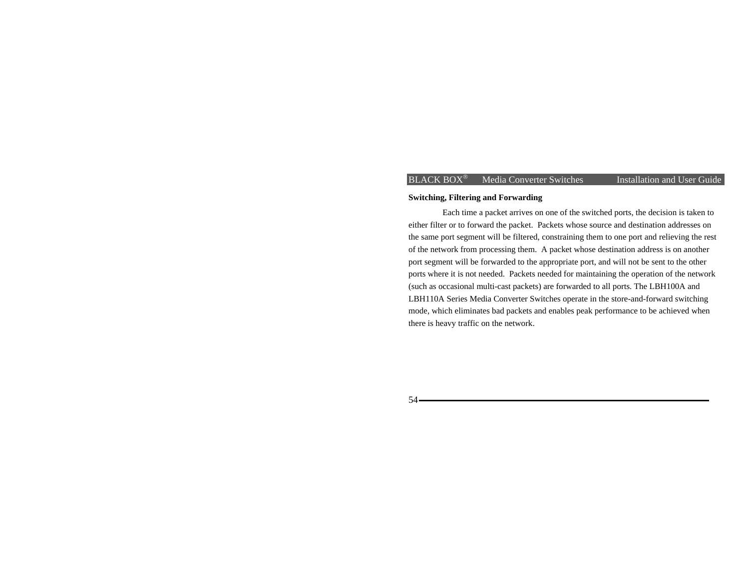### **Switching, Filtering and Forwarding**

Each time a packet arrives on one of the switched ports, the decision is taken to either filter or to forward the packet. Packets whose source and destination addresses on the same port segment will be filtered, constraining them to one port and relieving the rest of the network from processing them. A packet whose destination address is on another port segment will be forwarded to the appropriate port, and will not be sent to the other ports where it is not needed. Packets needed for maintaining the operation of the network (such as occasional multi-cast packets) are forwarded to all ports. The LBH100A and LBH110A Series Media Converter Switches operate in the store-and-forward switching mode, which eliminates bad packets and enables peak performance to be achieved when there is heavy traffic on the network.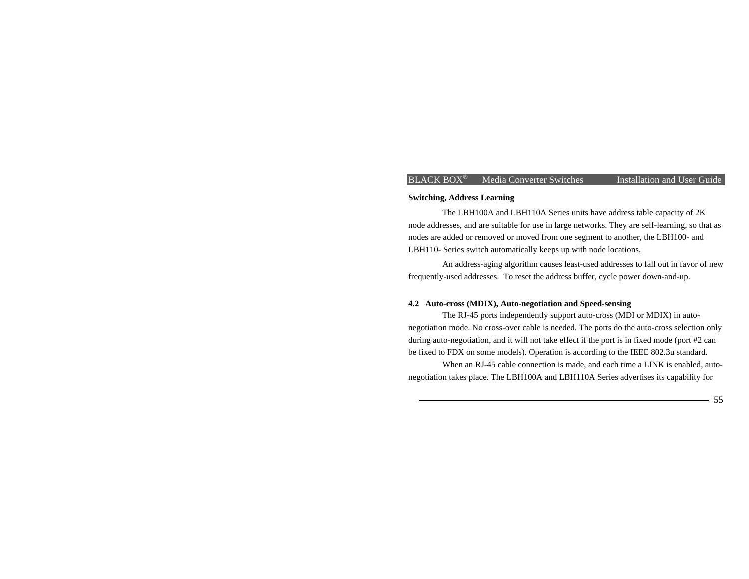#### **Switching, Address Learning**

The LBH100A and LBH110A Series units have address table capacity of 2K node addresses, and are suitable for use in large networks. They are self-learning, so that as nodes are added or removed or moved from one segment to another, the LBH100- and LBH110- Series switch automatically keeps up with node locations.

An address-aging algorithm causes least-used addresses to fall out in favor of new frequently-used addresses. To reset the address buffer, cycle power down-and-up.

### **4.2 Auto-cross (MDIX), Auto-negotiation and Speed-sensing**

The RJ-45 ports independently support auto-cross (MDI or MDIX) in autonegotiation mode. No cross-over cable is needed. The ports do the auto-cross selection only during auto-negotiation, and it will not take effect if the port is in fixed mode (port #2 can be fixed to FDX on some models). Operation is according to the IEEE 802.3u standard.

When an RJ-45 cable connection is made, and each time a LINK is enabled, autonegotiation takes place. The LBH100A and LBH110A Series advertises its capability for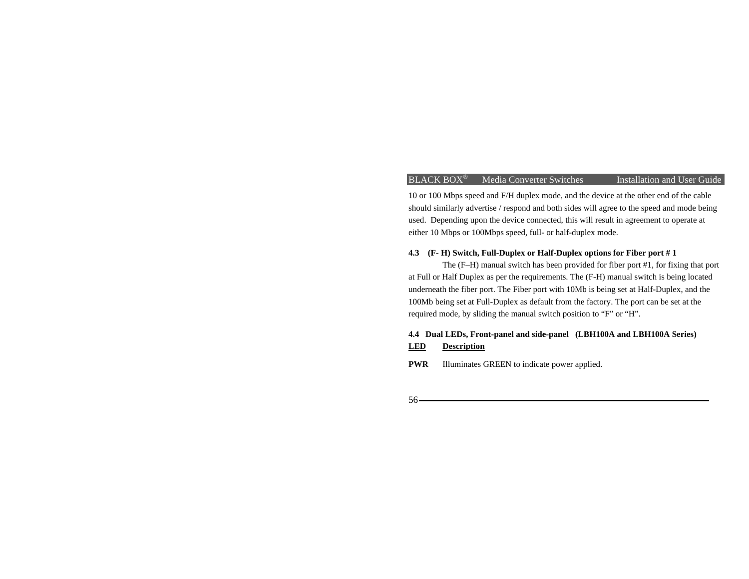10 or 100 Mbps speed and F/H duplex mode, and the device at the other end of the cable should similarly advertise / respond and both sides will agree to the speed and mode being used. Depending upon the device connected, this will result in agreement to operate at either 10 Mbps or 100Mbps speed, full- or half-duplex mode.

## **4.3 (F- H) Switch, Full-Duplex or Half-Duplex options for Fiber port # 1**

The (F–H) manual switch has been provided for fiber port #1, for fixing that port at Full or Half Duplex as per the requirements. The (F-H) manual switch is being located underneath the fiber port. The Fiber port with 10Mb is being set at Half-Duplex, and the 100Mb being set at Full-Duplex as default from the factory. The port can be set at the required mode, by sliding the manual switch position to "F" or "H".

## **4.4 Dual LEDs, Front-panel and side-panel (LBH100A and LBH100A Series) LED Description**

**PWR** Illuminates GREEN to indicate power applied.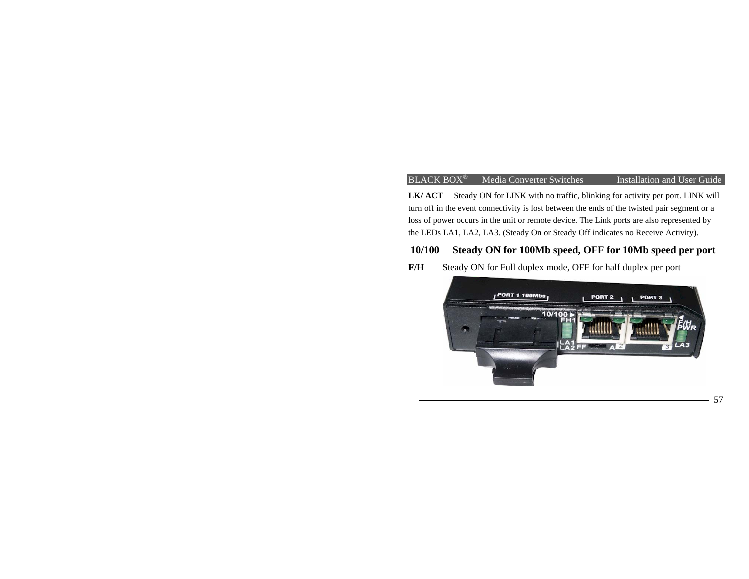LK/ ACT Steady ON for LINK with no traffic, blinking for activity per port. LINK will turn off in the event connectivity is lost between the ends of the twisted pair segment or a loss of power occurs in the unit or remote device. The Link ports are also represented by the LEDs LA1, LA2, LA3. (Steady On or Steady Off indicates no Receive Activity).

# **10/100 Steady ON for 100Mb speed, OFF for 10Mb speed per port**

**F/H** Steady ON for Full duplex mode, OFF for half duplex per port

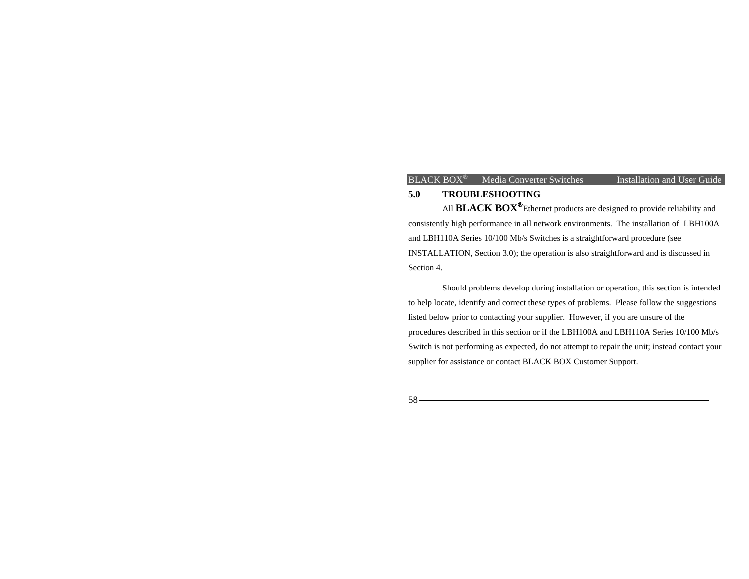## **5.0 TROUBLESHOOTING**

 All **BLACK BOX**®Ethernet products are designed to provide reliability and consistently high performance in all network environments. The installation of LBH100A and LBH110A Series 10/100 Mb/s Switches is a straightforward procedure (see INSTALLATION, Section 3.0); the operation is also straightforward and is discussed in Section 4.

 Should problems develop during installation or operation, this section is intended to help locate, identify and correct these types of problems. Please follow the suggestions listed below prior to contacting your supplier. However, if you are unsure of the procedures described in this section or if the LBH100A and LBH110A Series 10/100 Mb/s Switch is not performing as expected, do not attempt to repair the unit; instead contact your supplier for assistance or contact BLACK BOX Customer Support.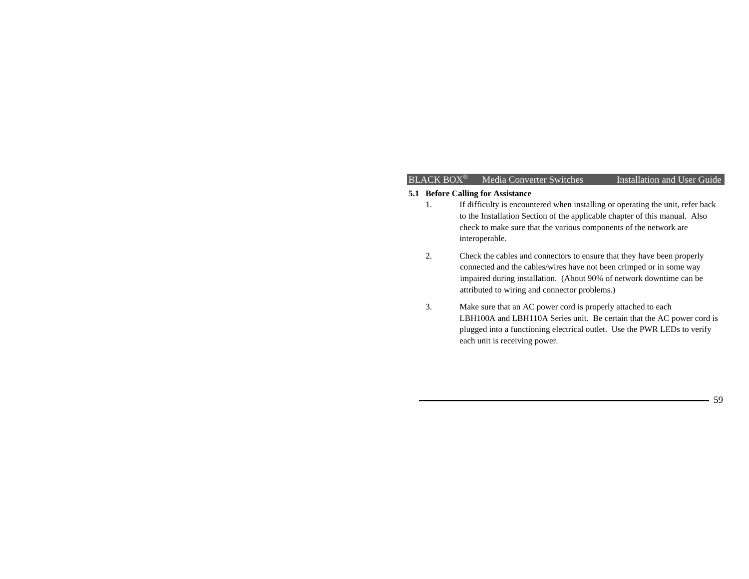## $BLACK$  BOX<sup>®</sup> Media Converter Switches

Installation and User Guide

# **5.1 Before Calling for Assistance**

- 1. If difficulty is encountered when installing or operating the unit, refer back to the Installation Section of the applicable chapter of this manual. Also check to make sure that the various components of the network are interoperable.
- 2. Check the cables and connectors to ensure that they have been properly connected and the cables/wires have not been crimped or in some way impaired during installation. (About 90% of network downtime can be attributed to wiring and connector problems.)
- 3. Make sure that an AC power cord is properly attached to each LBH100A and LBH110A Series unit. Be certain that the AC power cord is plugged into a functioning electrical outlet. Use the PWR LEDs to verify each unit is receiving power.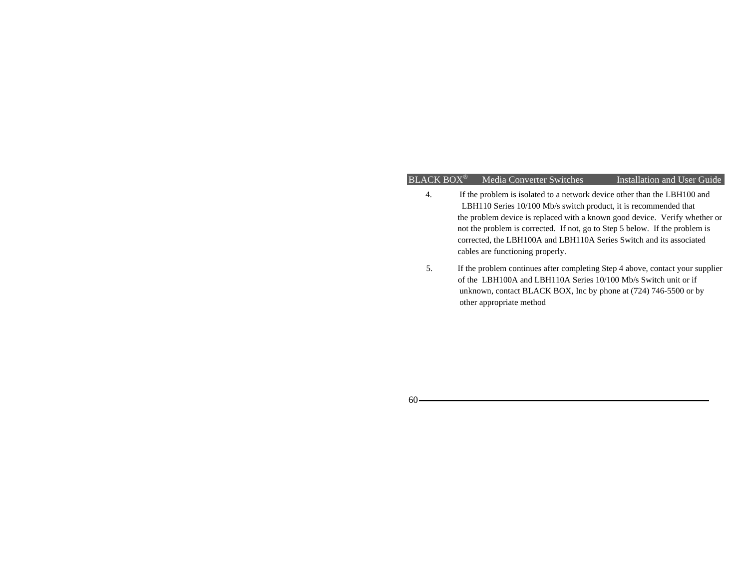- 4. If the problem is isolated to a network device other than the LBH100 and LBH110 Series 10/100 Mb/s switch product, it is recommended that the problem device is replaced with a known good device. Verify whether or not the problem is corrected. If not, go to Step 5 below. If the problem is corrected, the LBH100A and LBH110A Series Switch and its associated cables are functioning properly.
- 5. If the problem continues after completing Step 4 above, contact your supplier of the LBH100A and LBH110A Series 10/100 Mb/s Switch unit or if unknown, contact BLACK BOX, Inc by phone at (724) 746-5500 or by other appropriate method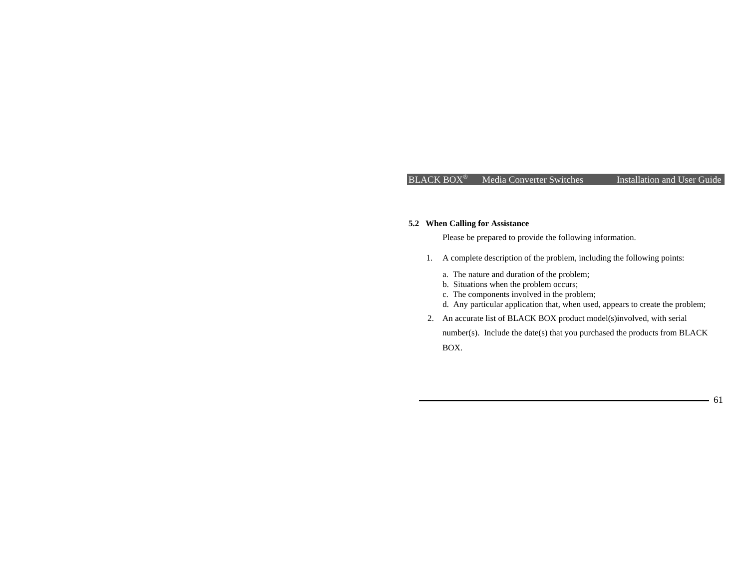### BLACK BOX<sup>®</sup> Media Converter Switches Installation and User Guide

61

# **5.2 When Calling for Assistance**

Please be prepared to provide the following information.

- 1. A complete description of the problem, including the following points:
	- a. The nature and duration of the problem;
	- b. Situations when the problem occurs;
	- c. The components involved in the problem;
	- d. Any particular application that, when used, appears to create the problem;
- 2. An accurate list of BLACK BOX product model(s)involved, with serial

number(s). Include the date(s) that you purchased the products from BLACK BOX.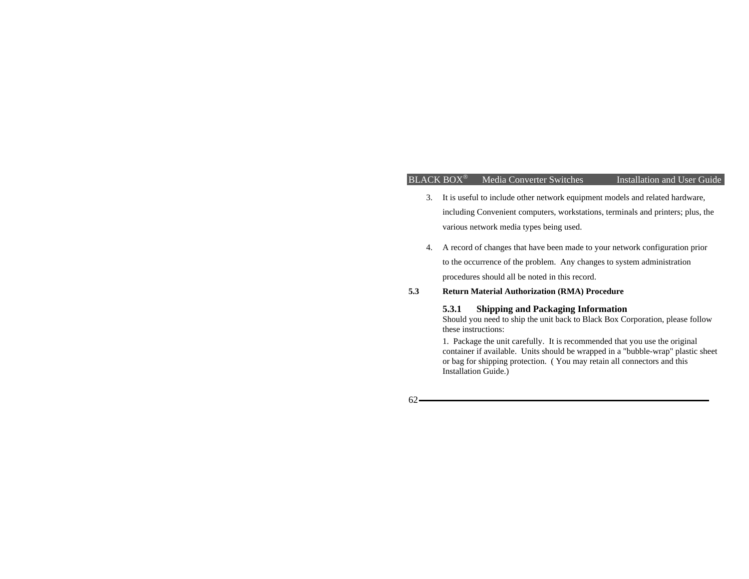### BLACK BOX<sup>®</sup> Media Converter Switches Installation and User Guide

- 3. It is useful to include other network equipment models and related hardware, including Convenient computers, workstations, terminals and printers; plus, the various network media types being used.
- 4. A record of changes that have been made to your network configuration prior to the occurrence of the problem. Any changes to system administration procedures should all be noted in this record.

### **5.3 Return Material Authorization (RMA) Procedure**

## **5.3.1 Shipping and Packaging Information**

Should you need to ship the unit back to Black Box Corporation, please follow these instructions:

1. Package the unit carefully. It is recommended that you use the original container if available. Units should be wrapped in a "bubble-wrap" plastic sheet or bag for shipping protection. ( You may retain all connectors and this Installation Guide.)

 $62-$